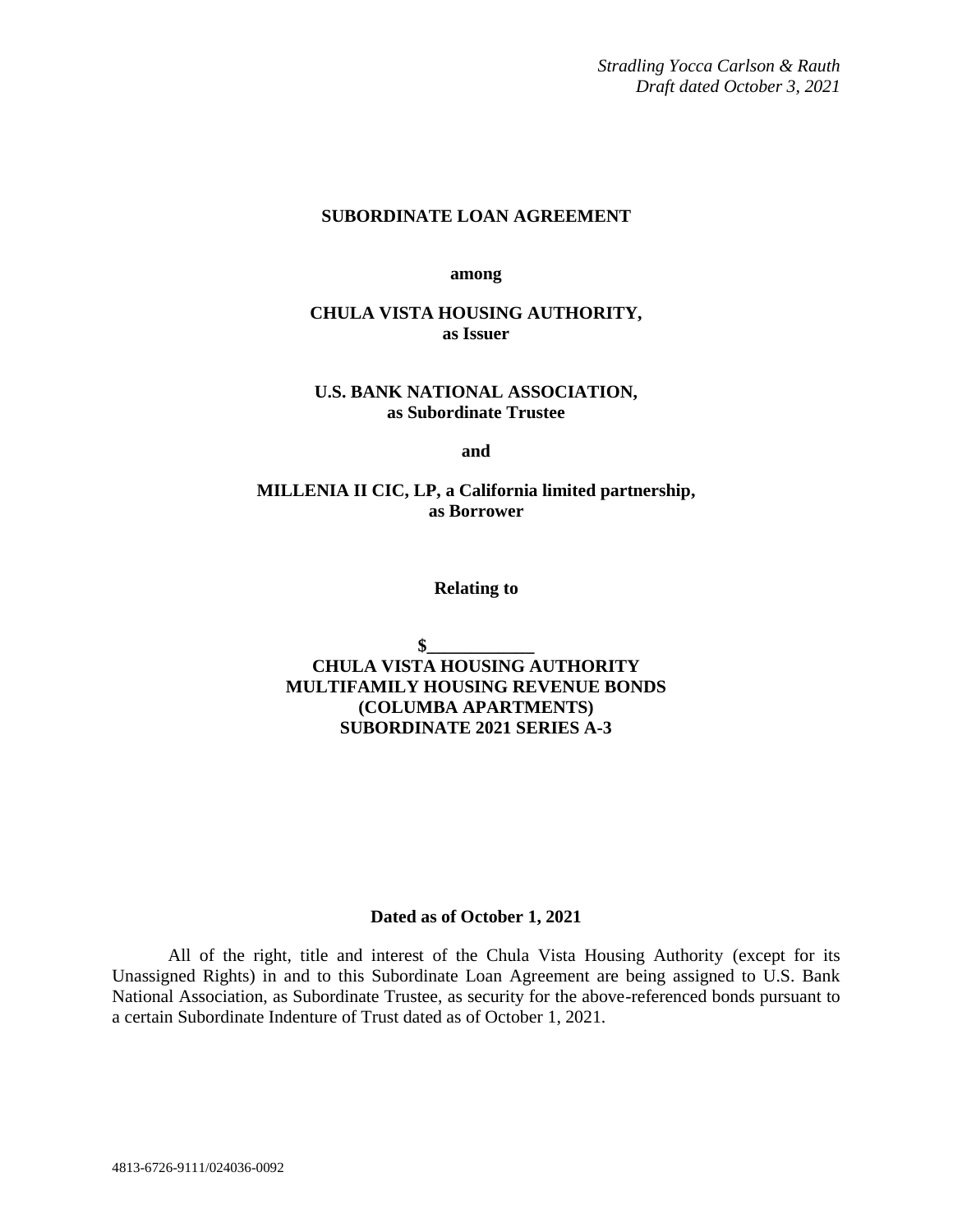*Stradling Yocca Carlson & Rauth Draft dated October 3, 2021*

### **SUBORDINATE LOAN AGREEMENT**

**among**

### **CHULA VISTA HOUSING AUTHORITY, as Issuer**

#### **U.S. BANK NATIONAL ASSOCIATION, as Subordinate Trustee**

**and**

### **MILLENIA II CIC, LP, a California limited partnership, as Borrower**

**Relating to**

 $\mathbf{\$}$ **CHULA VISTA HOUSING AUTHORITY MULTIFAMILY HOUSING REVENUE BONDS (COLUMBA APARTMENTS) SUBORDINATE 2021 SERIES A-3**

#### **Dated as of October 1, 2021**

All of the right, title and interest of the Chula Vista Housing Authority (except for its Unassigned Rights) in and to this Subordinate Loan Agreement are being assigned to U.S. Bank National Association, as Subordinate Trustee, as security for the above-referenced bonds pursuant to a certain Subordinate Indenture of Trust dated as of October 1, 2021.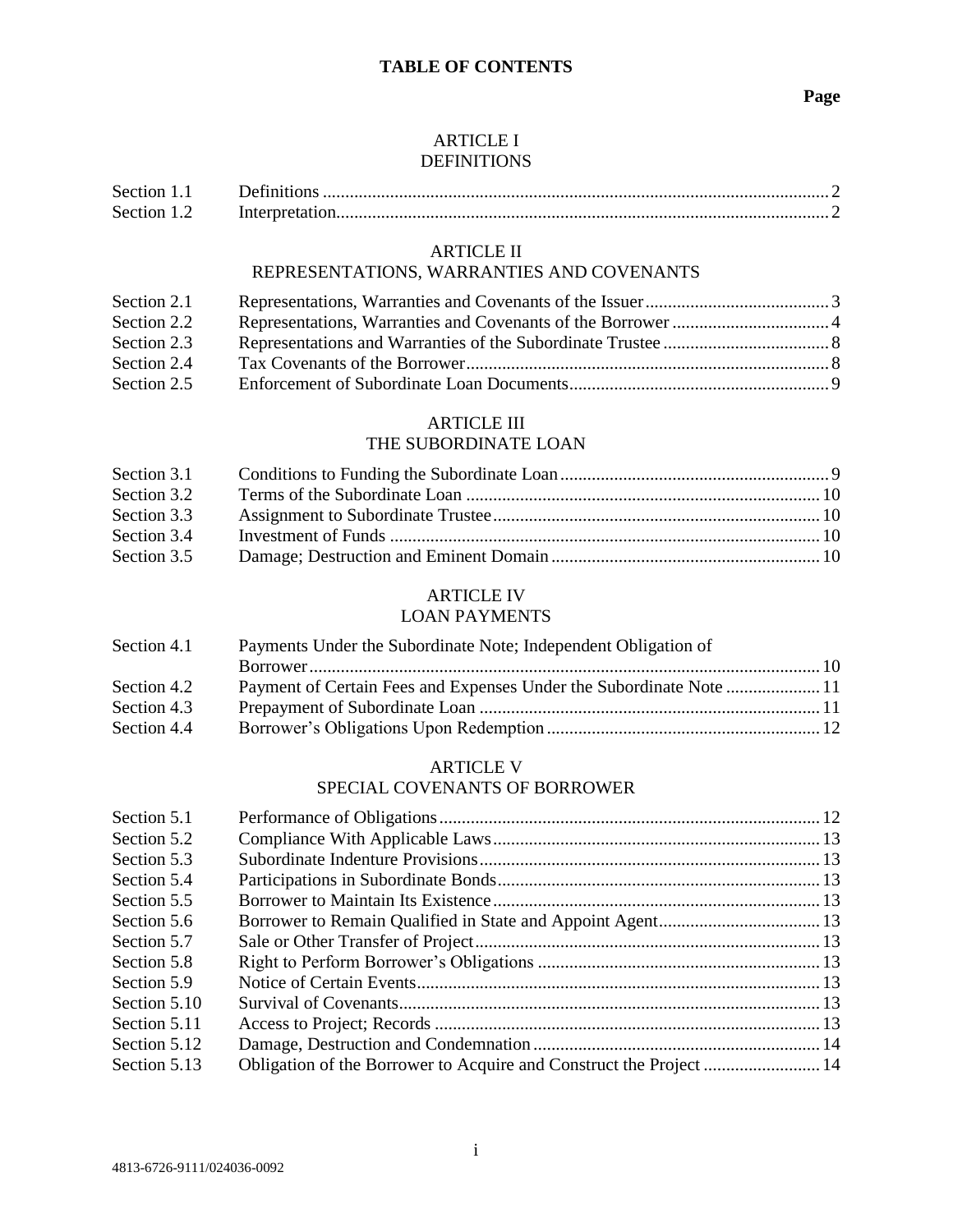### ARTICLE I DEFINITIONS

| Section 1. |  |
|------------|--|
| Section 1. |  |

### ARTICLE II

# REPRESENTATIONS, WARRANTIES AND COVENANTS

| Section 2.1 |  |
|-------------|--|
| Section 2.2 |  |
| Section 2.3 |  |
| Section 2.4 |  |
| Section 2.5 |  |

# ARTICLE III

# THE SUBORDINATE LOAN

| Section 3.1 |  |
|-------------|--|
| Section 3.2 |  |
| Section 3.3 |  |
| Section 3.4 |  |
| Section 3.5 |  |

# ARTICLE IV

# LOAN PAYMENTS

| Section 4.1 | Payments Under the Subordinate Note; Independent Obligation of |  |  |
|-------------|----------------------------------------------------------------|--|--|
|             |                                                                |  |  |
| Section 4.2 |                                                                |  |  |
| Section 4.3 |                                                                |  |  |
| Section 4.4 |                                                                |  |  |

#### ARTICLE V SPECIAL COVENANTS OF BORROWER

| Section 5.1  |  |
|--------------|--|
| Section 5.2  |  |
| Section 5.3  |  |
| Section 5.4  |  |
| Section 5.5  |  |
| Section 5.6  |  |
| Section 5.7  |  |
| Section 5.8  |  |
| Section 5.9  |  |
| Section 5.10 |  |
| Section 5.11 |  |
| Section 5.12 |  |
| Section 5.13 |  |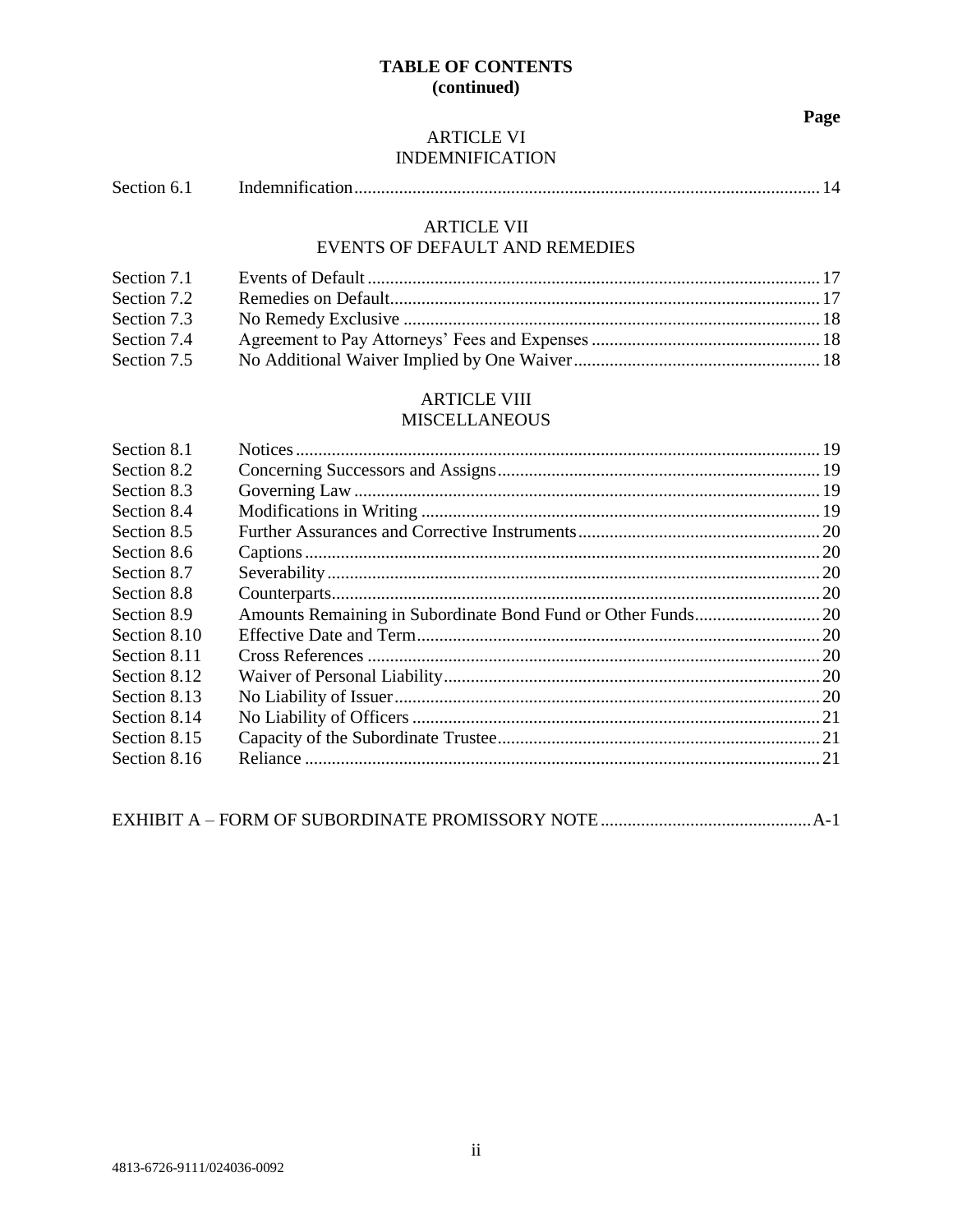# **TABLE OF CONTENTS (continued)**

**Page**

### ARTICLE VI INDEMNIFICATION

### ARTICLE VII EVENTS OF DEFAULT AND REMEDIES

| Section 7.1 |  |
|-------------|--|
| Section 7.2 |  |
|             |  |
| Section 7.3 |  |
| Section 7.4 |  |
| Section 7.5 |  |

# ARTICLE VIII

# MISCELLANEOUS

| Section 8.1  |  |
|--------------|--|
| Section 8.2  |  |
| Section 8.3  |  |
| Section 8.4  |  |
| Section 8.5  |  |
| Section 8.6  |  |
| Section 8.7  |  |
| Section 8.8  |  |
| Section 8.9  |  |
| Section 8.10 |  |
| Section 8.11 |  |
| Section 8.12 |  |
| Section 8.13 |  |
| Section 8.14 |  |
| Section 8.15 |  |
| Section 8.16 |  |
|              |  |

|--|--|--|--|--|--|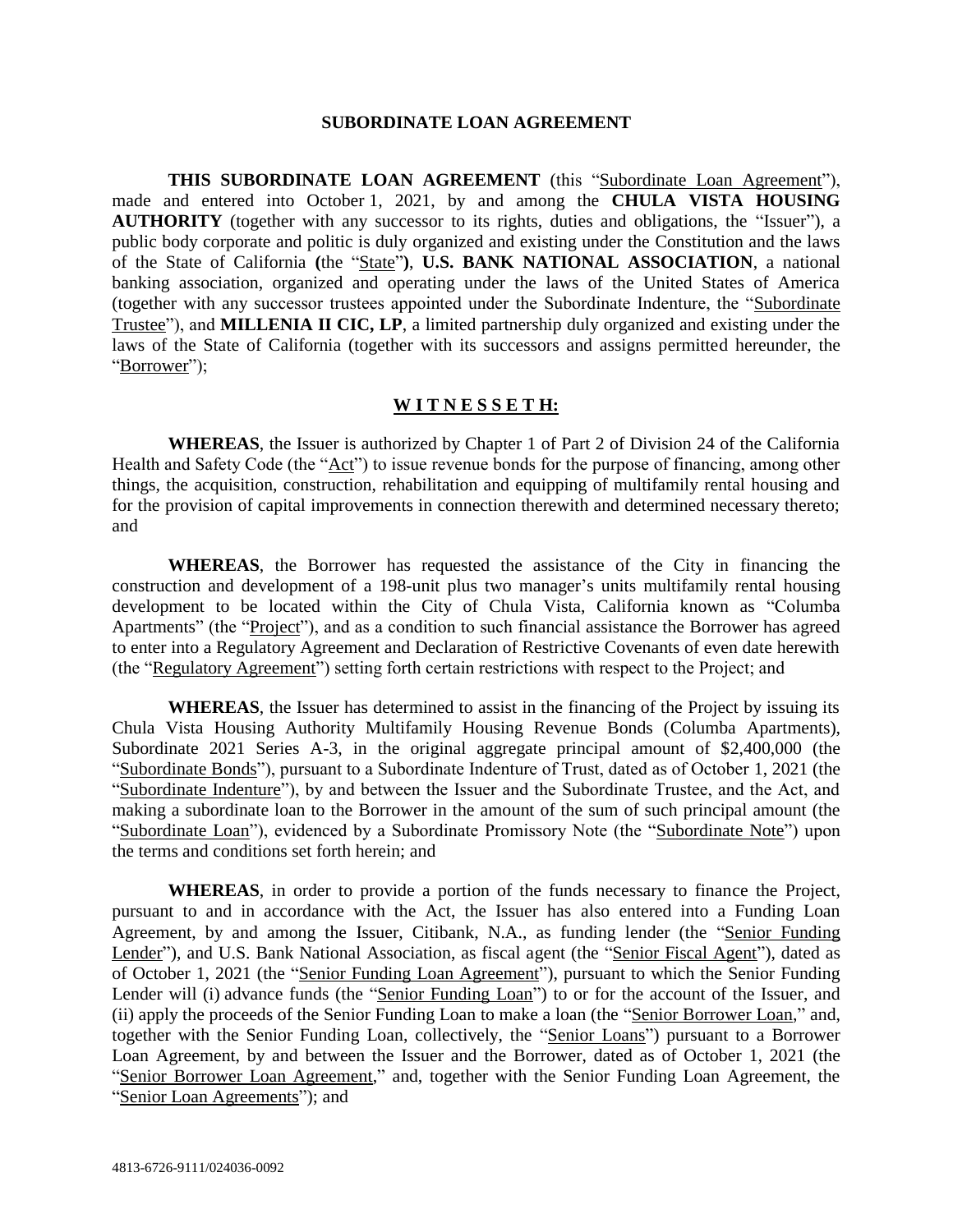#### **SUBORDINATE LOAN AGREEMENT**

**THIS SUBORDINATE LOAN AGREEMENT** (this "Subordinate Loan Agreement"), made and entered into October 1, 2021, by and among the **CHULA VISTA HOUSING AUTHORITY** (together with any successor to its rights, duties and obligations, the "Issuer"), a public body corporate and politic is duly organized and existing under the Constitution and the laws of the State of California **(**the "State"**)**, **U.S. BANK NATIONAL ASSOCIATION**, a national banking association, organized and operating under the laws of the United States of America (together with any successor trustees appointed under the Subordinate Indenture, the "Subordinate Trustee"), and **MILLENIA II CIC, LP**, a limited partnership duly organized and existing under the laws of the State of California (together with its successors and assigns permitted hereunder, the "Borrower");

#### **W I T N E S S E T H:**

**WHEREAS**, the Issuer is authorized by Chapter 1 of Part 2 of Division 24 of the California Health and Safety Code (the "Act") to issue revenue bonds for the purpose of financing, among other things, the acquisition, construction, rehabilitation and equipping of multifamily rental housing and for the provision of capital improvements in connection therewith and determined necessary thereto; and

**WHEREAS**, the Borrower has requested the assistance of the City in financing the construction and development of a 198-unit plus two manager's units multifamily rental housing development to be located within the City of Chula Vista, California known as "Columba Apartments" (the "Project"), and as a condition to such financial assistance the Borrower has agreed to enter into a Regulatory Agreement and Declaration of Restrictive Covenants of even date herewith (the "Regulatory Agreement") setting forth certain restrictions with respect to the Project; and

**WHEREAS**, the Issuer has determined to assist in the financing of the Project by issuing its Chula Vista Housing Authority Multifamily Housing Revenue Bonds (Columba Apartments), Subordinate 2021 Series A-3, in the original aggregate principal amount of \$2,400,000 (the "Subordinate Bonds"), pursuant to a Subordinate Indenture of Trust, dated as of October 1, 2021 (the "Subordinate Indenture"), by and between the Issuer and the Subordinate Trustee, and the Act, and making a subordinate loan to the Borrower in the amount of the sum of such principal amount (the "Subordinate Loan"), evidenced by a Subordinate Promissory Note (the "Subordinate Note") upon the terms and conditions set forth herein; and

**WHEREAS**, in order to provide a portion of the funds necessary to finance the Project, pursuant to and in accordance with the Act, the Issuer has also entered into a Funding Loan Agreement, by and among the Issuer, Citibank, N.A., as funding lender (the "Senior Funding Lender"), and U.S. Bank National Association, as fiscal agent (the "Senior Fiscal Agent"), dated as of October 1, 2021 (the "Senior Funding Loan Agreement"), pursuant to which the Senior Funding Lender will (i) advance funds (the "Senior Funding Loan") to or for the account of the Issuer, and (ii) apply the proceeds of the Senior Funding Loan to make a loan (the "Senior Borrower Loan," and, together with the Senior Funding Loan, collectively, the "Senior Loans") pursuant to a Borrower Loan Agreement, by and between the Issuer and the Borrower, dated as of October 1, 2021 (the "Senior Borrower Loan Agreement," and, together with the Senior Funding Loan Agreement, the "Senior Loan Agreements"); and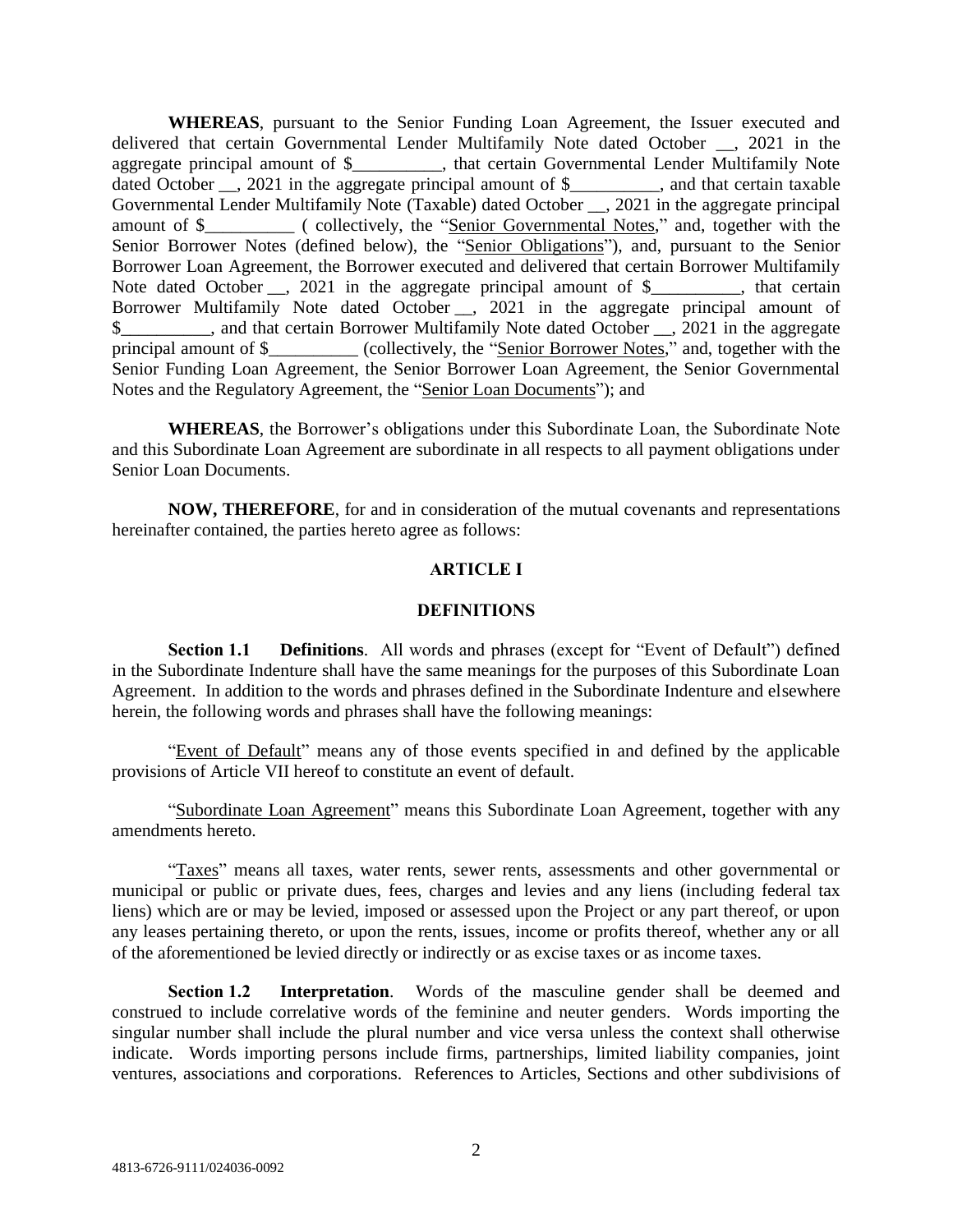**WHEREAS**, pursuant to the Senior Funding Loan Agreement, the Issuer executed and delivered that certain Governmental Lender Multifamily Note dated October \_\_, 2021 in the aggregate principal amount of \$\_\_\_\_\_\_\_\_\_\_, that certain Governmental Lender Multifamily Note dated October \_\_, 2021 in the aggregate principal amount of \$\_\_\_\_\_\_\_\_, and that certain taxable Governmental Lender Multifamily Note (Taxable) dated October \_\_, 2021 in the aggregate principal amount of \$ ( collectively, the "Senior Governmental Notes," and, together with the Senior Borrower Notes (defined below), the "Senior Obligations"), and, pursuant to the Senior Borrower Loan Agreement, the Borrower executed and delivered that certain Borrower Multifamily Note dated October \_\_, 2021 in the aggregate principal amount of \$\_\_\_\_\_\_\_\_, that certain Borrower Multifamily Note dated October \_\_, 2021 in the aggregate principal amount of \$ and that certain Borrower Multifamily Note dated October . 2021 in the aggregate principal amount of \$  $\qquad \qquad$  (collectively, the "Senior Borrower Notes," and, together with the Senior Funding Loan Agreement, the Senior Borrower Loan Agreement, the Senior Governmental Notes and the Regulatory Agreement, the "Senior Loan Documents"); and

**WHEREAS**, the Borrower's obligations under this Subordinate Loan, the Subordinate Note and this Subordinate Loan Agreement are subordinate in all respects to all payment obligations under Senior Loan Documents.

**NOW, THEREFORE**, for and in consideration of the mutual covenants and representations hereinafter contained, the parties hereto agree as follows:

### **ARTICLE I**

### **DEFINITIONS**

**Section 1.1 Definitions**. All words and phrases (except for "Event of Default") defined in the Subordinate Indenture shall have the same meanings for the purposes of this Subordinate Loan Agreement. In addition to the words and phrases defined in the Subordinate Indenture and elsewhere herein, the following words and phrases shall have the following meanings:

"Event of Default" means any of those events specified in and defined by the applicable provisions of Article VII hereof to constitute an event of default.

"Subordinate Loan Agreement" means this Subordinate Loan Agreement, together with any amendments hereto.

"Taxes" means all taxes, water rents, sewer rents, assessments and other governmental or municipal or public or private dues, fees, charges and levies and any liens (including federal tax liens) which are or may be levied, imposed or assessed upon the Project or any part thereof, or upon any leases pertaining thereto, or upon the rents, issues, income or profits thereof, whether any or all of the aforementioned be levied directly or indirectly or as excise taxes or as income taxes.

**Section 1.2 Interpretation**. Words of the masculine gender shall be deemed and construed to include correlative words of the feminine and neuter genders. Words importing the singular number shall include the plural number and vice versa unless the context shall otherwise indicate. Words importing persons include firms, partnerships, limited liability companies, joint ventures, associations and corporations. References to Articles, Sections and other subdivisions of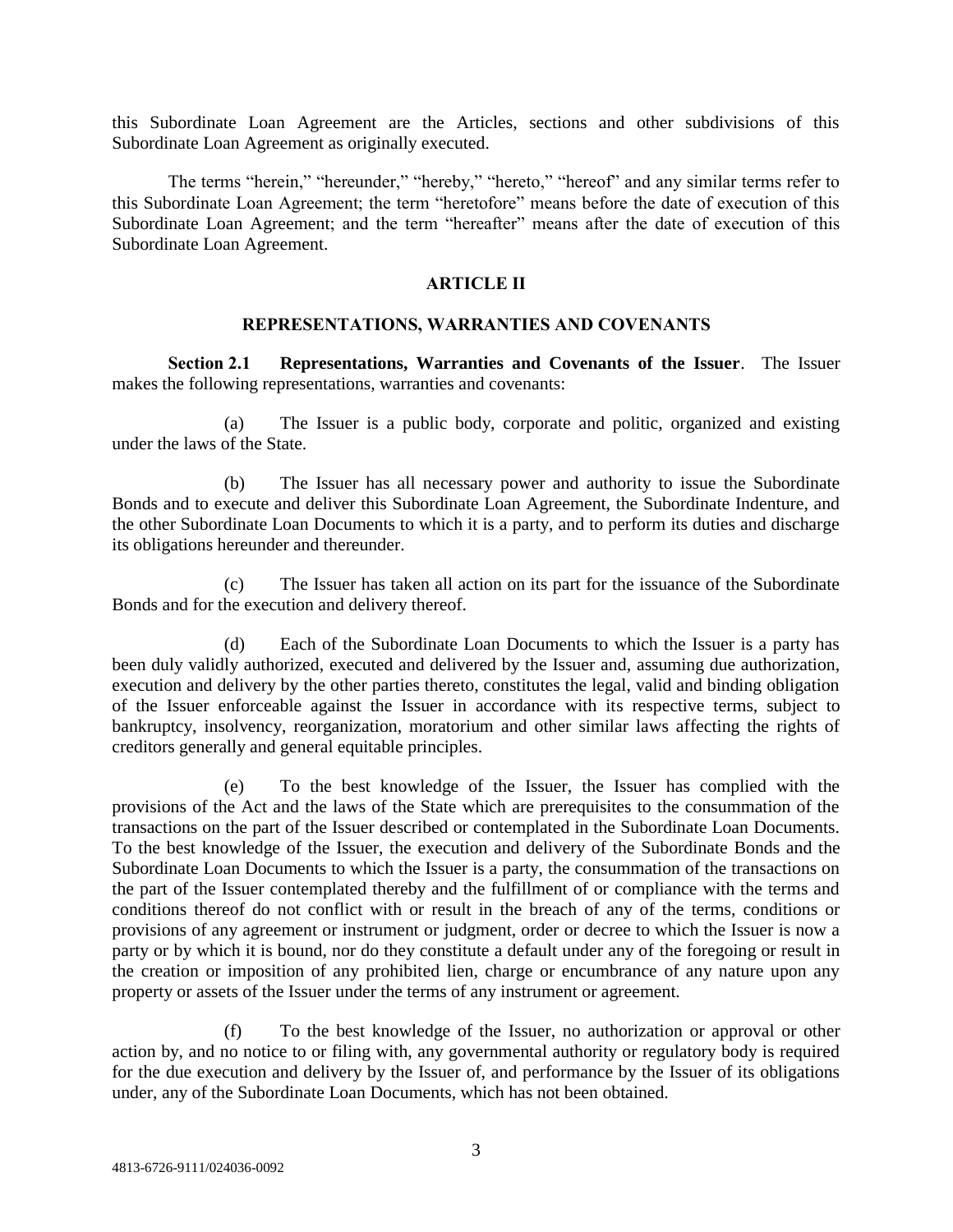this Subordinate Loan Agreement are the Articles, sections and other subdivisions of this Subordinate Loan Agreement as originally executed.

The terms "herein," "hereunder," "hereby," "hereto," "hereof" and any similar terms refer to this Subordinate Loan Agreement; the term "heretofore" means before the date of execution of this Subordinate Loan Agreement; and the term "hereafter" means after the date of execution of this Subordinate Loan Agreement.

#### **ARTICLE II**

#### **REPRESENTATIONS, WARRANTIES AND COVENANTS**

**Section 2.1 Representations, Warranties and Covenants of the Issuer**. The Issuer makes the following representations, warranties and covenants:

(a) The Issuer is a public body, corporate and politic, organized and existing under the laws of the State.

(b) The Issuer has all necessary power and authority to issue the Subordinate Bonds and to execute and deliver this Subordinate Loan Agreement, the Subordinate Indenture, and the other Subordinate Loan Documents to which it is a party, and to perform its duties and discharge its obligations hereunder and thereunder.

(c) The Issuer has taken all action on its part for the issuance of the Subordinate Bonds and for the execution and delivery thereof.

(d) Each of the Subordinate Loan Documents to which the Issuer is a party has been duly validly authorized, executed and delivered by the Issuer and, assuming due authorization, execution and delivery by the other parties thereto, constitutes the legal, valid and binding obligation of the Issuer enforceable against the Issuer in accordance with its respective terms, subject to bankruptcy, insolvency, reorganization, moratorium and other similar laws affecting the rights of creditors generally and general equitable principles.

(e) To the best knowledge of the Issuer, the Issuer has complied with the provisions of the Act and the laws of the State which are prerequisites to the consummation of the transactions on the part of the Issuer described or contemplated in the Subordinate Loan Documents. To the best knowledge of the Issuer, the execution and delivery of the Subordinate Bonds and the Subordinate Loan Documents to which the Issuer is a party, the consummation of the transactions on the part of the Issuer contemplated thereby and the fulfillment of or compliance with the terms and conditions thereof do not conflict with or result in the breach of any of the terms, conditions or provisions of any agreement or instrument or judgment, order or decree to which the Issuer is now a party or by which it is bound, nor do they constitute a default under any of the foregoing or result in the creation or imposition of any prohibited lien, charge or encumbrance of any nature upon any property or assets of the Issuer under the terms of any instrument or agreement.

(f) To the best knowledge of the Issuer, no authorization or approval or other action by, and no notice to or filing with, any governmental authority or regulatory body is required for the due execution and delivery by the Issuer of, and performance by the Issuer of its obligations under, any of the Subordinate Loan Documents, which has not been obtained.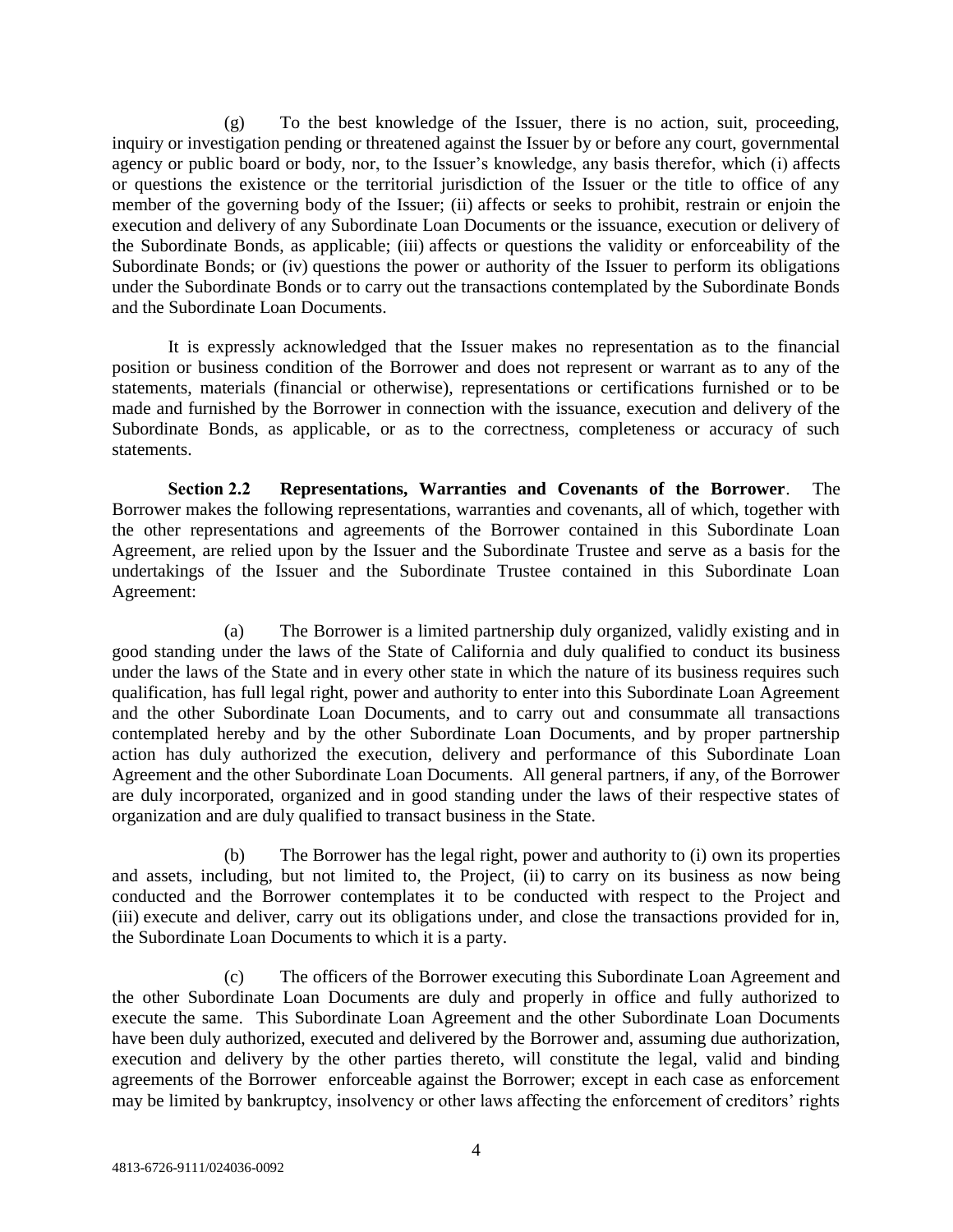(g) To the best knowledge of the Issuer, there is no action, suit, proceeding, inquiry or investigation pending or threatened against the Issuer by or before any court, governmental agency or public board or body, nor, to the Issuer's knowledge, any basis therefor, which (i) affects or questions the existence or the territorial jurisdiction of the Issuer or the title to office of any member of the governing body of the Issuer; (ii) affects or seeks to prohibit, restrain or enjoin the execution and delivery of any Subordinate Loan Documents or the issuance, execution or delivery of the Subordinate Bonds, as applicable; (iii) affects or questions the validity or enforceability of the Subordinate Bonds; or (iv) questions the power or authority of the Issuer to perform its obligations under the Subordinate Bonds or to carry out the transactions contemplated by the Subordinate Bonds and the Subordinate Loan Documents.

It is expressly acknowledged that the Issuer makes no representation as to the financial position or business condition of the Borrower and does not represent or warrant as to any of the statements, materials (financial or otherwise), representations or certifications furnished or to be made and furnished by the Borrower in connection with the issuance, execution and delivery of the Subordinate Bonds, as applicable, or as to the correctness, completeness or accuracy of such statements.

**Section 2.2 Representations, Warranties and Covenants of the Borrower**. The Borrower makes the following representations, warranties and covenants, all of which, together with the other representations and agreements of the Borrower contained in this Subordinate Loan Agreement, are relied upon by the Issuer and the Subordinate Trustee and serve as a basis for the undertakings of the Issuer and the Subordinate Trustee contained in this Subordinate Loan Agreement:

(a) The Borrower is a limited partnership duly organized, validly existing and in good standing under the laws of the State of California and duly qualified to conduct its business under the laws of the State and in every other state in which the nature of its business requires such qualification, has full legal right, power and authority to enter into this Subordinate Loan Agreement and the other Subordinate Loan Documents, and to carry out and consummate all transactions contemplated hereby and by the other Subordinate Loan Documents, and by proper partnership action has duly authorized the execution, delivery and performance of this Subordinate Loan Agreement and the other Subordinate Loan Documents. All general partners, if any, of the Borrower are duly incorporated, organized and in good standing under the laws of their respective states of organization and are duly qualified to transact business in the State.

(b) The Borrower has the legal right, power and authority to (i) own its properties and assets, including, but not limited to, the Project, (ii) to carry on its business as now being conducted and the Borrower contemplates it to be conducted with respect to the Project and (iii) execute and deliver, carry out its obligations under, and close the transactions provided for in, the Subordinate Loan Documents to which it is a party.

(c) The officers of the Borrower executing this Subordinate Loan Agreement and the other Subordinate Loan Documents are duly and properly in office and fully authorized to execute the same. This Subordinate Loan Agreement and the other Subordinate Loan Documents have been duly authorized, executed and delivered by the Borrower and, assuming due authorization, execution and delivery by the other parties thereto, will constitute the legal, valid and binding agreements of the Borrower enforceable against the Borrower; except in each case as enforcement may be limited by bankruptcy, insolvency or other laws affecting the enforcement of creditors' rights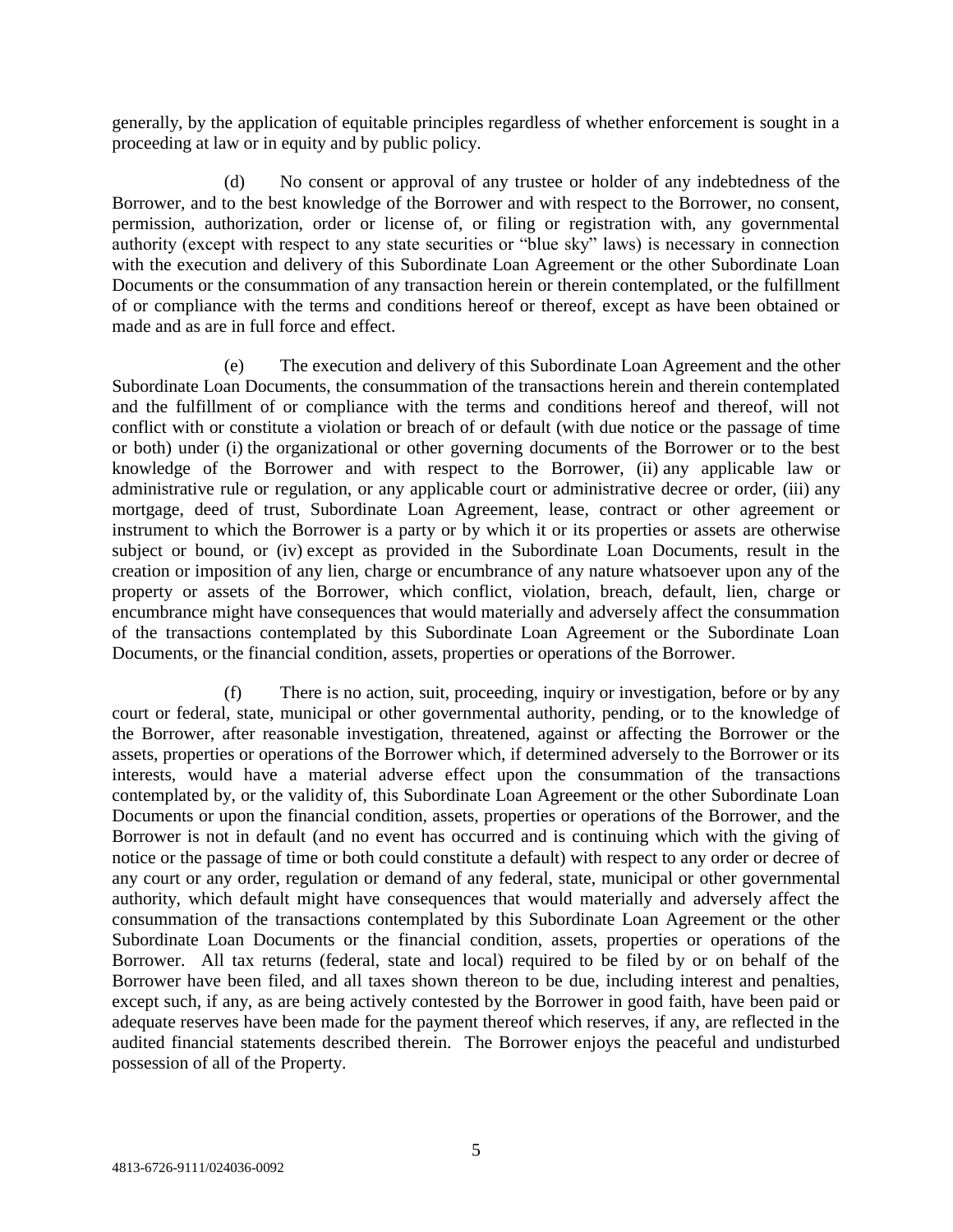generally, by the application of equitable principles regardless of whether enforcement is sought in a proceeding at law or in equity and by public policy.

(d) No consent or approval of any trustee or holder of any indebtedness of the Borrower, and to the best knowledge of the Borrower and with respect to the Borrower, no consent, permission, authorization, order or license of, or filing or registration with, any governmental authority (except with respect to any state securities or "blue sky" laws) is necessary in connection with the execution and delivery of this Subordinate Loan Agreement or the other Subordinate Loan Documents or the consummation of any transaction herein or therein contemplated, or the fulfillment of or compliance with the terms and conditions hereof or thereof, except as have been obtained or made and as are in full force and effect.

(e) The execution and delivery of this Subordinate Loan Agreement and the other Subordinate Loan Documents, the consummation of the transactions herein and therein contemplated and the fulfillment of or compliance with the terms and conditions hereof and thereof, will not conflict with or constitute a violation or breach of or default (with due notice or the passage of time or both) under (i) the organizational or other governing documents of the Borrower or to the best knowledge of the Borrower and with respect to the Borrower, (ii) any applicable law or administrative rule or regulation, or any applicable court or administrative decree or order, (iii) any mortgage, deed of trust, Subordinate Loan Agreement, lease, contract or other agreement or instrument to which the Borrower is a party or by which it or its properties or assets are otherwise subject or bound, or (iv) except as provided in the Subordinate Loan Documents, result in the creation or imposition of any lien, charge or encumbrance of any nature whatsoever upon any of the property or assets of the Borrower, which conflict, violation, breach, default, lien, charge or encumbrance might have consequences that would materially and adversely affect the consummation of the transactions contemplated by this Subordinate Loan Agreement or the Subordinate Loan Documents, or the financial condition, assets, properties or operations of the Borrower.

(f) There is no action, suit, proceeding, inquiry or investigation, before or by any court or federal, state, municipal or other governmental authority, pending, or to the knowledge of the Borrower, after reasonable investigation, threatened, against or affecting the Borrower or the assets, properties or operations of the Borrower which, if determined adversely to the Borrower or its interests, would have a material adverse effect upon the consummation of the transactions contemplated by, or the validity of, this Subordinate Loan Agreement or the other Subordinate Loan Documents or upon the financial condition, assets, properties or operations of the Borrower, and the Borrower is not in default (and no event has occurred and is continuing which with the giving of notice or the passage of time or both could constitute a default) with respect to any order or decree of any court or any order, regulation or demand of any federal, state, municipal or other governmental authority, which default might have consequences that would materially and adversely affect the consummation of the transactions contemplated by this Subordinate Loan Agreement or the other Subordinate Loan Documents or the financial condition, assets, properties or operations of the Borrower. All tax returns (federal, state and local) required to be filed by or on behalf of the Borrower have been filed, and all taxes shown thereon to be due, including interest and penalties, except such, if any, as are being actively contested by the Borrower in good faith, have been paid or adequate reserves have been made for the payment thereof which reserves, if any, are reflected in the audited financial statements described therein. The Borrower enjoys the peaceful and undisturbed possession of all of the Property.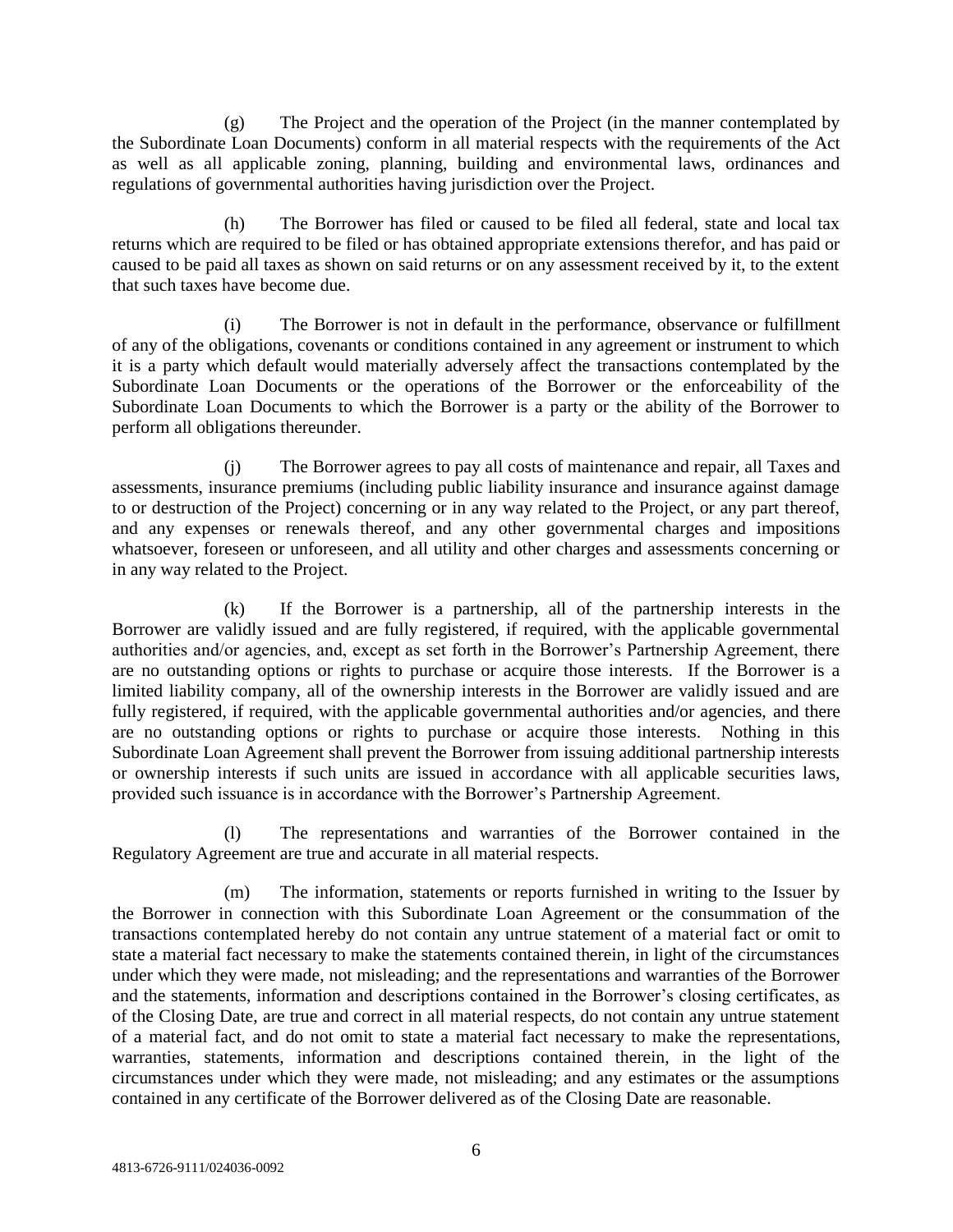(g) The Project and the operation of the Project (in the manner contemplated by the Subordinate Loan Documents) conform in all material respects with the requirements of the Act as well as all applicable zoning, planning, building and environmental laws, ordinances and regulations of governmental authorities having jurisdiction over the Project.

(h) The Borrower has filed or caused to be filed all federal, state and local tax returns which are required to be filed or has obtained appropriate extensions therefor, and has paid or caused to be paid all taxes as shown on said returns or on any assessment received by it, to the extent that such taxes have become due.

The Borrower is not in default in the performance, observance or fulfillment of any of the obligations, covenants or conditions contained in any agreement or instrument to which it is a party which default would materially adversely affect the transactions contemplated by the Subordinate Loan Documents or the operations of the Borrower or the enforceability of the Subordinate Loan Documents to which the Borrower is a party or the ability of the Borrower to perform all obligations thereunder.

(j) The Borrower agrees to pay all costs of maintenance and repair, all Taxes and assessments, insurance premiums (including public liability insurance and insurance against damage to or destruction of the Project) concerning or in any way related to the Project, or any part thereof, and any expenses or renewals thereof, and any other governmental charges and impositions whatsoever, foreseen or unforeseen, and all utility and other charges and assessments concerning or in any way related to the Project.

(k) If the Borrower is a partnership, all of the partnership interests in the Borrower are validly issued and are fully registered, if required, with the applicable governmental authorities and/or agencies, and, except as set forth in the Borrower's Partnership Agreement, there are no outstanding options or rights to purchase or acquire those interests. If the Borrower is a limited liability company, all of the ownership interests in the Borrower are validly issued and are fully registered, if required, with the applicable governmental authorities and/or agencies, and there are no outstanding options or rights to purchase or acquire those interests. Nothing in this Subordinate Loan Agreement shall prevent the Borrower from issuing additional partnership interests or ownership interests if such units are issued in accordance with all applicable securities laws, provided such issuance is in accordance with the Borrower's Partnership Agreement.

(l) The representations and warranties of the Borrower contained in the Regulatory Agreement are true and accurate in all material respects.

(m) The information, statements or reports furnished in writing to the Issuer by the Borrower in connection with this Subordinate Loan Agreement or the consummation of the transactions contemplated hereby do not contain any untrue statement of a material fact or omit to state a material fact necessary to make the statements contained therein, in light of the circumstances under which they were made, not misleading; and the representations and warranties of the Borrower and the statements, information and descriptions contained in the Borrower's closing certificates, as of the Closing Date, are true and correct in all material respects, do not contain any untrue statement of a material fact, and do not omit to state a material fact necessary to make the representations, warranties, statements, information and descriptions contained therein, in the light of the circumstances under which they were made, not misleading; and any estimates or the assumptions contained in any certificate of the Borrower delivered as of the Closing Date are reasonable.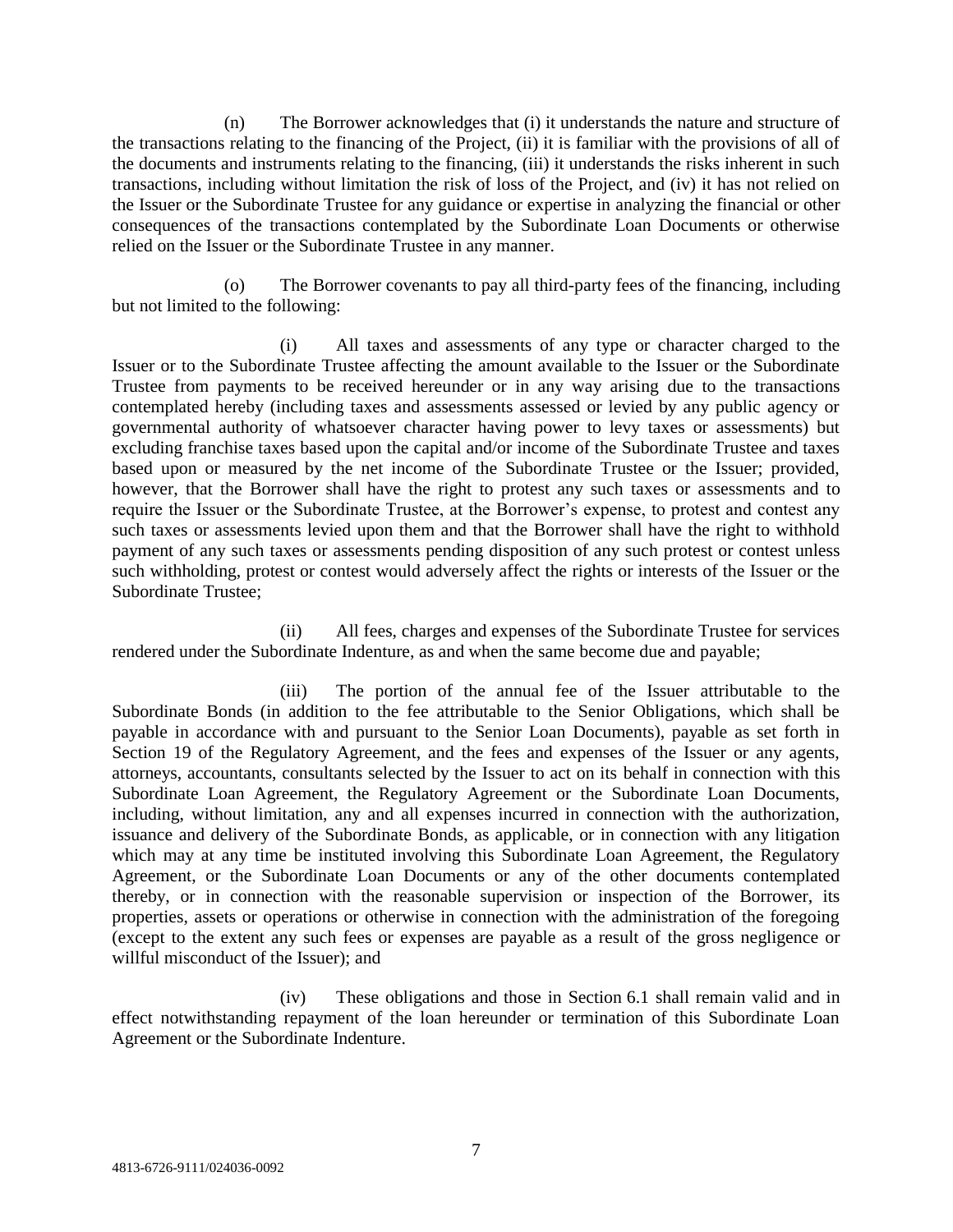(n) The Borrower acknowledges that (i) it understands the nature and structure of the transactions relating to the financing of the Project, (ii) it is familiar with the provisions of all of the documents and instruments relating to the financing, (iii) it understands the risks inherent in such transactions, including without limitation the risk of loss of the Project, and (iv) it has not relied on the Issuer or the Subordinate Trustee for any guidance or expertise in analyzing the financial or other consequences of the transactions contemplated by the Subordinate Loan Documents or otherwise relied on the Issuer or the Subordinate Trustee in any manner.

(o) The Borrower covenants to pay all third-party fees of the financing, including but not limited to the following:

(i) All taxes and assessments of any type or character charged to the Issuer or to the Subordinate Trustee affecting the amount available to the Issuer or the Subordinate Trustee from payments to be received hereunder or in any way arising due to the transactions contemplated hereby (including taxes and assessments assessed or levied by any public agency or governmental authority of whatsoever character having power to levy taxes or assessments) but excluding franchise taxes based upon the capital and/or income of the Subordinate Trustee and taxes based upon or measured by the net income of the Subordinate Trustee or the Issuer; provided, however, that the Borrower shall have the right to protest any such taxes or assessments and to require the Issuer or the Subordinate Trustee, at the Borrower's expense, to protest and contest any such taxes or assessments levied upon them and that the Borrower shall have the right to withhold payment of any such taxes or assessments pending disposition of any such protest or contest unless such withholding, protest or contest would adversely affect the rights or interests of the Issuer or the Subordinate Trustee;

(ii) All fees, charges and expenses of the Subordinate Trustee for services rendered under the Subordinate Indenture, as and when the same become due and payable;

(iii) The portion of the annual fee of the Issuer attributable to the Subordinate Bonds (in addition to the fee attributable to the Senior Obligations, which shall be payable in accordance with and pursuant to the Senior Loan Documents), payable as set forth in Section 19 of the Regulatory Agreement, and the fees and expenses of the Issuer or any agents, attorneys, accountants, consultants selected by the Issuer to act on its behalf in connection with this Subordinate Loan Agreement, the Regulatory Agreement or the Subordinate Loan Documents, including, without limitation, any and all expenses incurred in connection with the authorization, issuance and delivery of the Subordinate Bonds, as applicable, or in connection with any litigation which may at any time be instituted involving this Subordinate Loan Agreement, the Regulatory Agreement, or the Subordinate Loan Documents or any of the other documents contemplated thereby, or in connection with the reasonable supervision or inspection of the Borrower, its properties, assets or operations or otherwise in connection with the administration of the foregoing (except to the extent any such fees or expenses are payable as a result of the gross negligence or willful misconduct of the Issuer); and

(iv) These obligations and those in Section 6.1 shall remain valid and in effect notwithstanding repayment of the loan hereunder or termination of this Subordinate Loan Agreement or the Subordinate Indenture.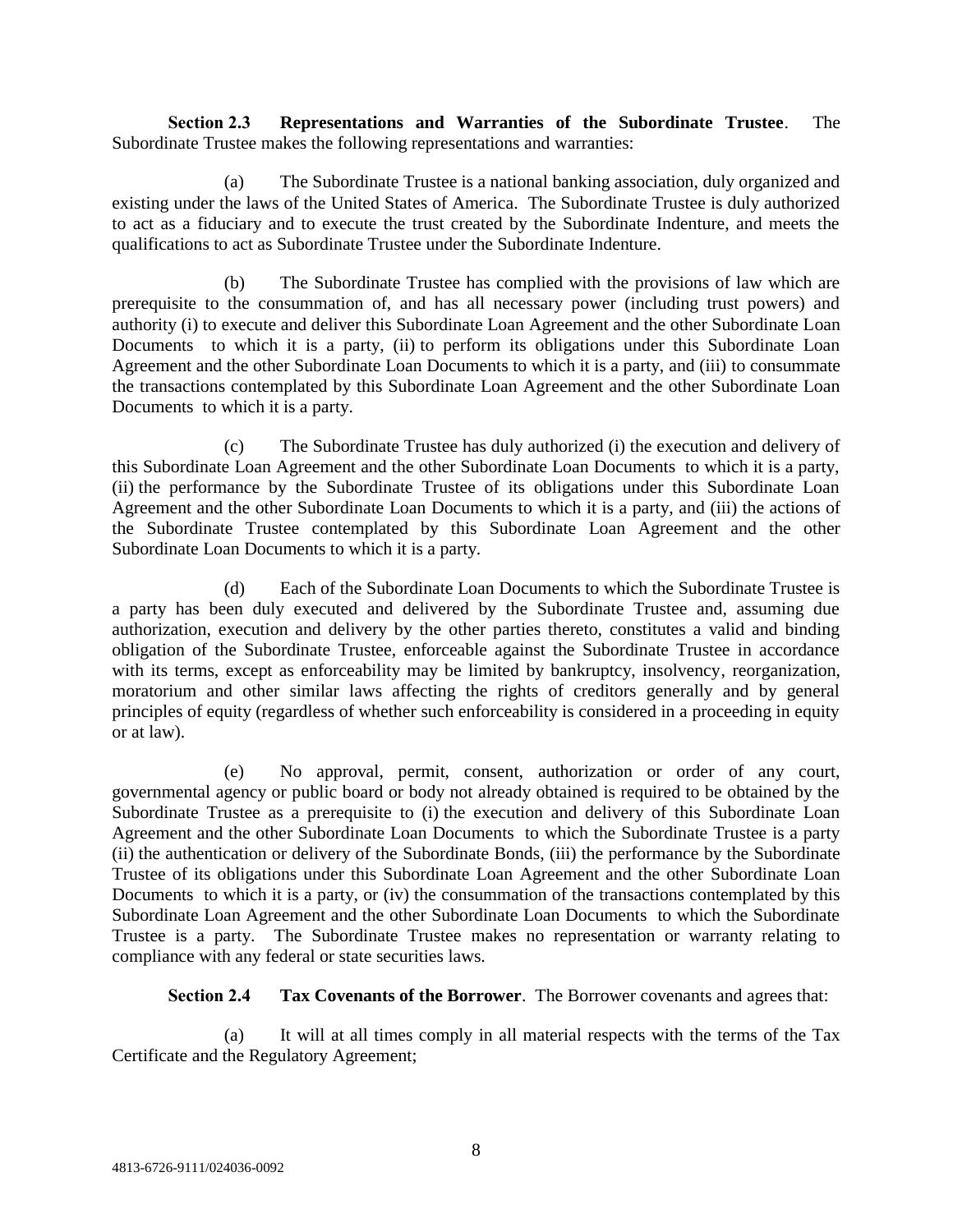**Section 2.3 Representations and Warranties of the Subordinate Trustee**. The Subordinate Trustee makes the following representations and warranties:

(a) The Subordinate Trustee is a national banking association, duly organized and existing under the laws of the United States of America. The Subordinate Trustee is duly authorized to act as a fiduciary and to execute the trust created by the Subordinate Indenture, and meets the qualifications to act as Subordinate Trustee under the Subordinate Indenture.

(b) The Subordinate Trustee has complied with the provisions of law which are prerequisite to the consummation of, and has all necessary power (including trust powers) and authority (i) to execute and deliver this Subordinate Loan Agreement and the other Subordinate Loan Documents to which it is a party, (ii) to perform its obligations under this Subordinate Loan Agreement and the other Subordinate Loan Documents to which it is a party, and (iii) to consummate the transactions contemplated by this Subordinate Loan Agreement and the other Subordinate Loan Documents to which it is a party.

(c) The Subordinate Trustee has duly authorized (i) the execution and delivery of this Subordinate Loan Agreement and the other Subordinate Loan Documents to which it is a party, (ii) the performance by the Subordinate Trustee of its obligations under this Subordinate Loan Agreement and the other Subordinate Loan Documents to which it is a party, and (iii) the actions of the Subordinate Trustee contemplated by this Subordinate Loan Agreement and the other Subordinate Loan Documents to which it is a party.

(d) Each of the Subordinate Loan Documents to which the Subordinate Trustee is a party has been duly executed and delivered by the Subordinate Trustee and, assuming due authorization, execution and delivery by the other parties thereto, constitutes a valid and binding obligation of the Subordinate Trustee, enforceable against the Subordinate Trustee in accordance with its terms, except as enforceability may be limited by bankruptcy, insolvency, reorganization, moratorium and other similar laws affecting the rights of creditors generally and by general principles of equity (regardless of whether such enforceability is considered in a proceeding in equity or at law).

(e) No approval, permit, consent, authorization or order of any court, governmental agency or public board or body not already obtained is required to be obtained by the Subordinate Trustee as a prerequisite to (i) the execution and delivery of this Subordinate Loan Agreement and the other Subordinate Loan Documents to which the Subordinate Trustee is a party (ii) the authentication or delivery of the Subordinate Bonds, (iii) the performance by the Subordinate Trustee of its obligations under this Subordinate Loan Agreement and the other Subordinate Loan Documents to which it is a party, or (iv) the consummation of the transactions contemplated by this Subordinate Loan Agreement and the other Subordinate Loan Documents to which the Subordinate Trustee is a party. The Subordinate Trustee makes no representation or warranty relating to compliance with any federal or state securities laws.

**Section 2.4 Tax Covenants of the Borrower**. The Borrower covenants and agrees that:

(a) It will at all times comply in all material respects with the terms of the Tax Certificate and the Regulatory Agreement;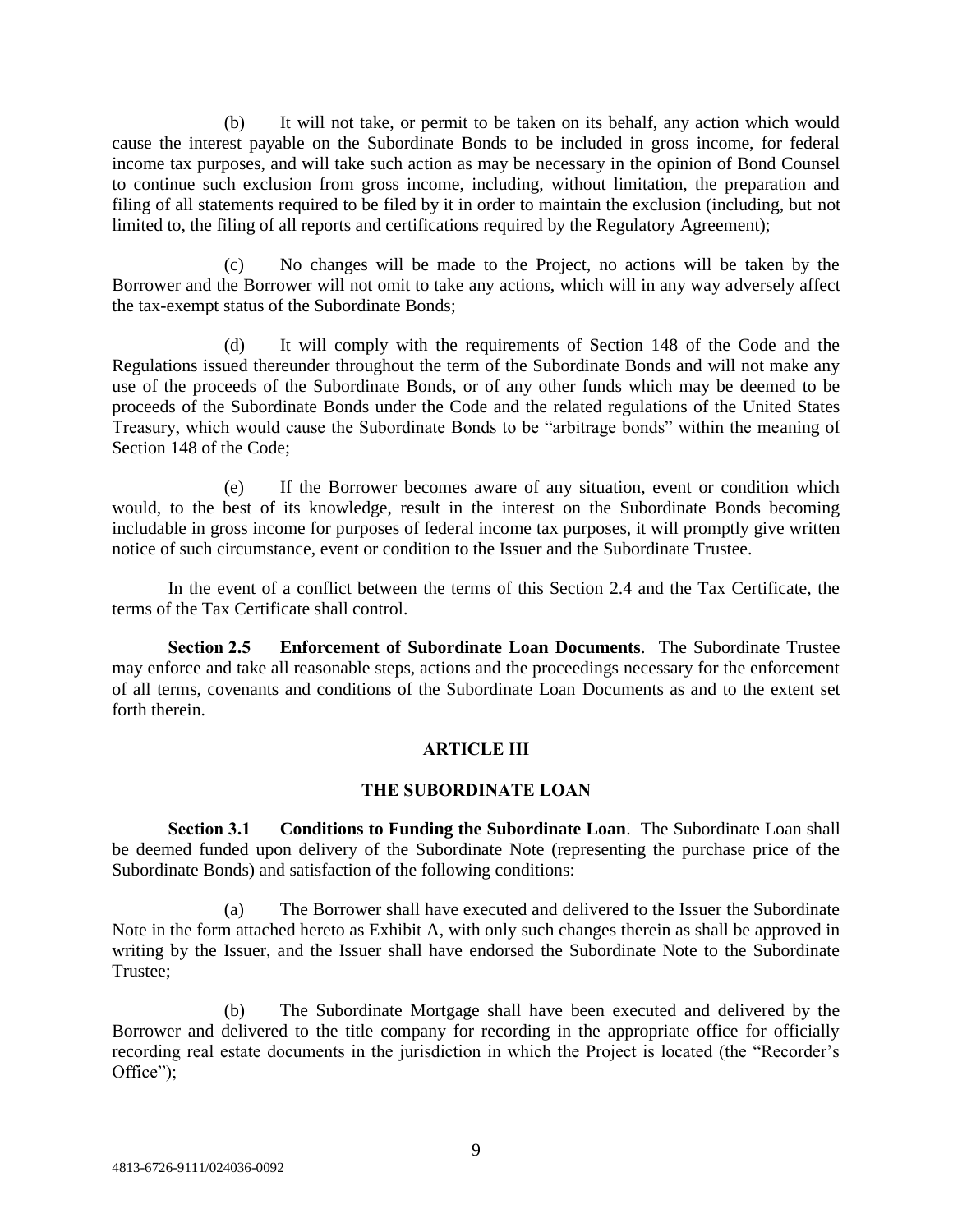(b) It will not take, or permit to be taken on its behalf, any action which would cause the interest payable on the Subordinate Bonds to be included in gross income, for federal income tax purposes, and will take such action as may be necessary in the opinion of Bond Counsel to continue such exclusion from gross income, including, without limitation, the preparation and filing of all statements required to be filed by it in order to maintain the exclusion (including, but not limited to, the filing of all reports and certifications required by the Regulatory Agreement);

(c) No changes will be made to the Project, no actions will be taken by the Borrower and the Borrower will not omit to take any actions, which will in any way adversely affect the tax-exempt status of the Subordinate Bonds;

(d) It will comply with the requirements of Section 148 of the Code and the Regulations issued thereunder throughout the term of the Subordinate Bonds and will not make any use of the proceeds of the Subordinate Bonds, or of any other funds which may be deemed to be proceeds of the Subordinate Bonds under the Code and the related regulations of the United States Treasury, which would cause the Subordinate Bonds to be "arbitrage bonds" within the meaning of Section 148 of the Code;

(e) If the Borrower becomes aware of any situation, event or condition which would, to the best of its knowledge, result in the interest on the Subordinate Bonds becoming includable in gross income for purposes of federal income tax purposes, it will promptly give written notice of such circumstance, event or condition to the Issuer and the Subordinate Trustee.

In the event of a conflict between the terms of this Section 2.4 and the Tax Certificate, the terms of the Tax Certificate shall control.

**Section 2.5 Enforcement of Subordinate Loan Documents**. The Subordinate Trustee may enforce and take all reasonable steps, actions and the proceedings necessary for the enforcement of all terms, covenants and conditions of the Subordinate Loan Documents as and to the extent set forth therein.

# **ARTICLE III**

#### **THE SUBORDINATE LOAN**

**Section 3.1 Conditions to Funding the Subordinate Loan**. The Subordinate Loan shall be deemed funded upon delivery of the Subordinate Note (representing the purchase price of the Subordinate Bonds) and satisfaction of the following conditions:

(a) The Borrower shall have executed and delivered to the Issuer the Subordinate Note in the form attached hereto as Exhibit A, with only such changes therein as shall be approved in writing by the Issuer, and the Issuer shall have endorsed the Subordinate Note to the Subordinate Trustee;

(b) The Subordinate Mortgage shall have been executed and delivered by the Borrower and delivered to the title company for recording in the appropriate office for officially recording real estate documents in the jurisdiction in which the Project is located (the "Recorder's Office");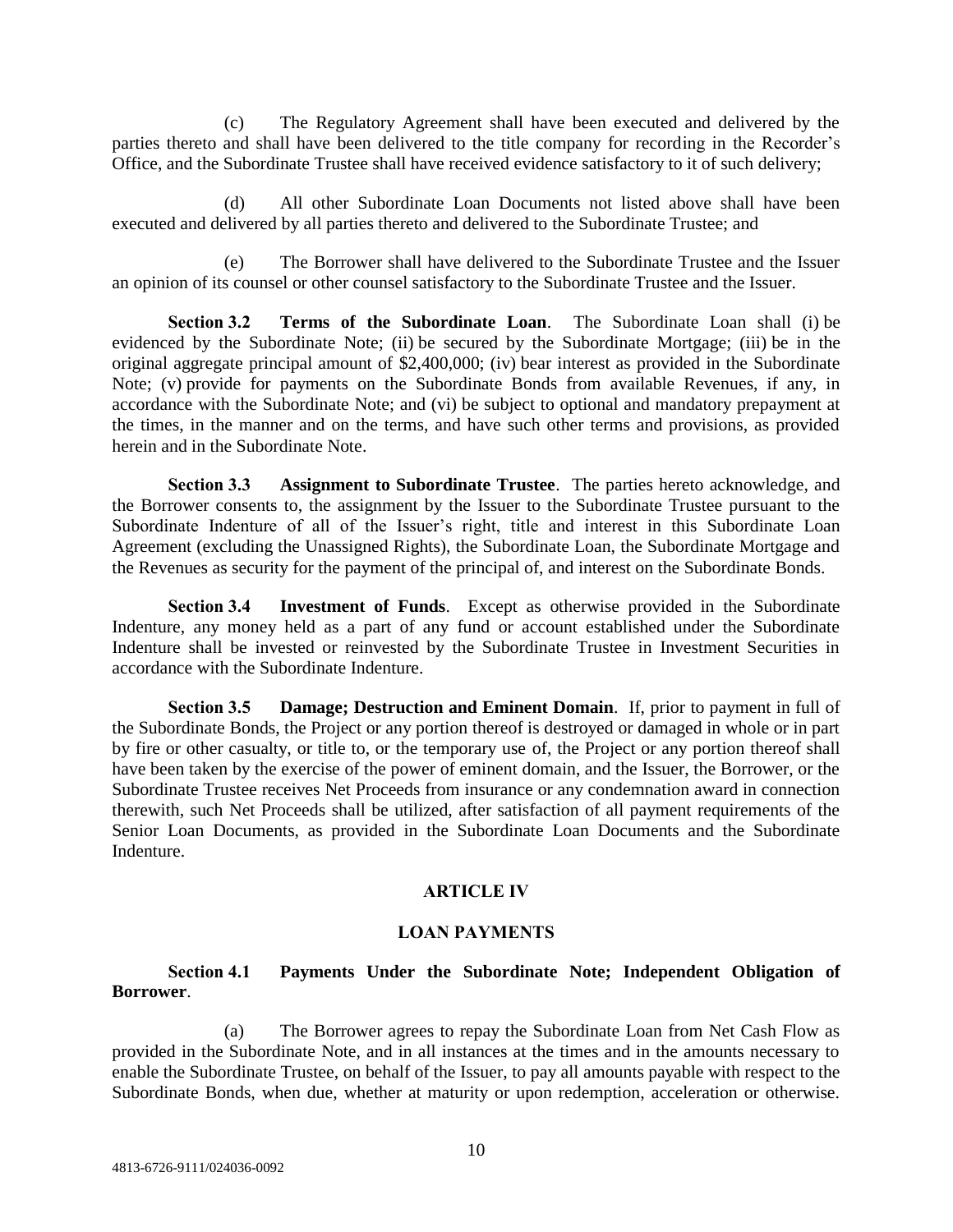(c) The Regulatory Agreement shall have been executed and delivered by the parties thereto and shall have been delivered to the title company for recording in the Recorder's Office, and the Subordinate Trustee shall have received evidence satisfactory to it of such delivery;

(d) All other Subordinate Loan Documents not listed above shall have been executed and delivered by all parties thereto and delivered to the Subordinate Trustee; and

(e) The Borrower shall have delivered to the Subordinate Trustee and the Issuer an opinion of its counsel or other counsel satisfactory to the Subordinate Trustee and the Issuer.

**Section 3.2 Terms of the Subordinate Loan**. The Subordinate Loan shall (i) be evidenced by the Subordinate Note; (ii) be secured by the Subordinate Mortgage; (iii) be in the original aggregate principal amount of \$2,400,000; (iv) bear interest as provided in the Subordinate Note; (v) provide for payments on the Subordinate Bonds from available Revenues, if any, in accordance with the Subordinate Note; and (vi) be subject to optional and mandatory prepayment at the times, in the manner and on the terms, and have such other terms and provisions, as provided herein and in the Subordinate Note.

**Section 3.3 Assignment to Subordinate Trustee**. The parties hereto acknowledge, and the Borrower consents to, the assignment by the Issuer to the Subordinate Trustee pursuant to the Subordinate Indenture of all of the Issuer's right, title and interest in this Subordinate Loan Agreement (excluding the Unassigned Rights), the Subordinate Loan, the Subordinate Mortgage and the Revenues as security for the payment of the principal of, and interest on the Subordinate Bonds.

**Section 3.4 Investment of Funds**. Except as otherwise provided in the Subordinate Indenture, any money held as a part of any fund or account established under the Subordinate Indenture shall be invested or reinvested by the Subordinate Trustee in Investment Securities in accordance with the Subordinate Indenture.

**Section 3.5 Damage; Destruction and Eminent Domain**. If, prior to payment in full of the Subordinate Bonds, the Project or any portion thereof is destroyed or damaged in whole or in part by fire or other casualty, or title to, or the temporary use of, the Project or any portion thereof shall have been taken by the exercise of the power of eminent domain, and the Issuer, the Borrower, or the Subordinate Trustee receives Net Proceeds from insurance or any condemnation award in connection therewith, such Net Proceeds shall be utilized, after satisfaction of all payment requirements of the Senior Loan Documents, as provided in the Subordinate Loan Documents and the Subordinate Indenture.

#### **ARTICLE IV**

#### **LOAN PAYMENTS**

### **Section 4.1 Payments Under the Subordinate Note; Independent Obligation of Borrower**.

(a) The Borrower agrees to repay the Subordinate Loan from Net Cash Flow as provided in the Subordinate Note, and in all instances at the times and in the amounts necessary to enable the Subordinate Trustee, on behalf of the Issuer, to pay all amounts payable with respect to the Subordinate Bonds, when due, whether at maturity or upon redemption, acceleration or otherwise.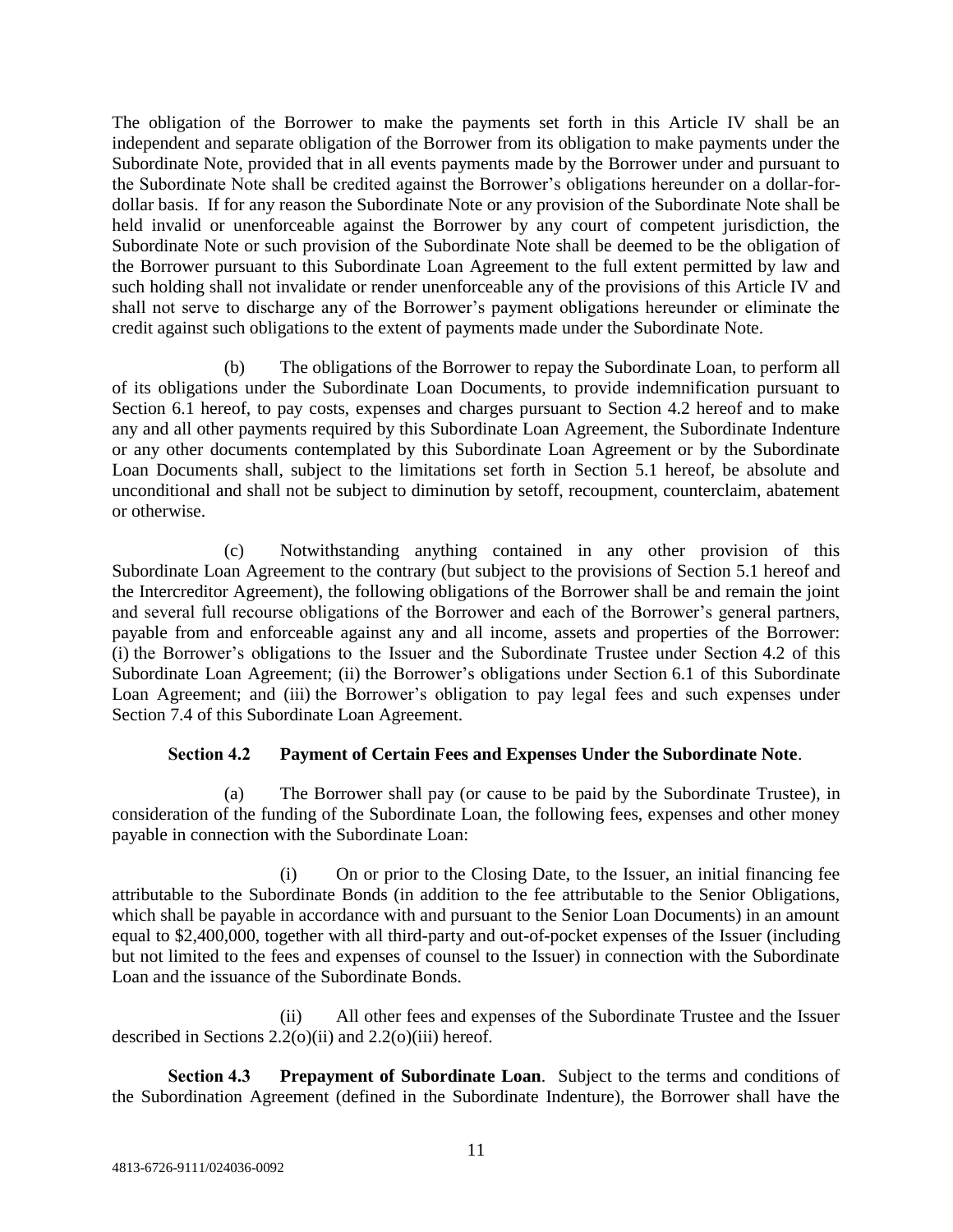The obligation of the Borrower to make the payments set forth in this Article IV shall be an independent and separate obligation of the Borrower from its obligation to make payments under the Subordinate Note, provided that in all events payments made by the Borrower under and pursuant to the Subordinate Note shall be credited against the Borrower's obligations hereunder on a dollar-fordollar basis. If for any reason the Subordinate Note or any provision of the Subordinate Note shall be held invalid or unenforceable against the Borrower by any court of competent jurisdiction, the Subordinate Note or such provision of the Subordinate Note shall be deemed to be the obligation of the Borrower pursuant to this Subordinate Loan Agreement to the full extent permitted by law and such holding shall not invalidate or render unenforceable any of the provisions of this Article IV and shall not serve to discharge any of the Borrower's payment obligations hereunder or eliminate the credit against such obligations to the extent of payments made under the Subordinate Note.

(b) The obligations of the Borrower to repay the Subordinate Loan, to perform all of its obligations under the Subordinate Loan Documents, to provide indemnification pursuant to Section 6.1 hereof, to pay costs, expenses and charges pursuant to Section 4.2 hereof and to make any and all other payments required by this Subordinate Loan Agreement, the Subordinate Indenture or any other documents contemplated by this Subordinate Loan Agreement or by the Subordinate Loan Documents shall, subject to the limitations set forth in Section 5.1 hereof, be absolute and unconditional and shall not be subject to diminution by setoff, recoupment, counterclaim, abatement or otherwise.

(c) Notwithstanding anything contained in any other provision of this Subordinate Loan Agreement to the contrary (but subject to the provisions of Section 5.1 hereof and the Intercreditor Agreement), the following obligations of the Borrower shall be and remain the joint and several full recourse obligations of the Borrower and each of the Borrower's general partners, payable from and enforceable against any and all income, assets and properties of the Borrower: (i) the Borrower's obligations to the Issuer and the Subordinate Trustee under Section 4.2 of this Subordinate Loan Agreement; (ii) the Borrower's obligations under Section 6.1 of this Subordinate Loan Agreement; and (iii) the Borrower's obligation to pay legal fees and such expenses under Section 7.4 of this Subordinate Loan Agreement.

# **Section 4.2 Payment of Certain Fees and Expenses Under the Subordinate Note**.

(a) The Borrower shall pay (or cause to be paid by the Subordinate Trustee), in consideration of the funding of the Subordinate Loan, the following fees, expenses and other money payable in connection with the Subordinate Loan:

(i) On or prior to the Closing Date, to the Issuer, an initial financing fee attributable to the Subordinate Bonds (in addition to the fee attributable to the Senior Obligations, which shall be payable in accordance with and pursuant to the Senior Loan Documents) in an amount equal to \$2,400,000, together with all third-party and out-of-pocket expenses of the Issuer (including but not limited to the fees and expenses of counsel to the Issuer) in connection with the Subordinate Loan and the issuance of the Subordinate Bonds.

(ii) All other fees and expenses of the Subordinate Trustee and the Issuer described in Sections  $2.2(0)(ii)$  and  $2.2(0)(iii)$  hereof.

**Section 4.3 Prepayment of Subordinate Loan**. Subject to the terms and conditions of the Subordination Agreement (defined in the Subordinate Indenture), the Borrower shall have the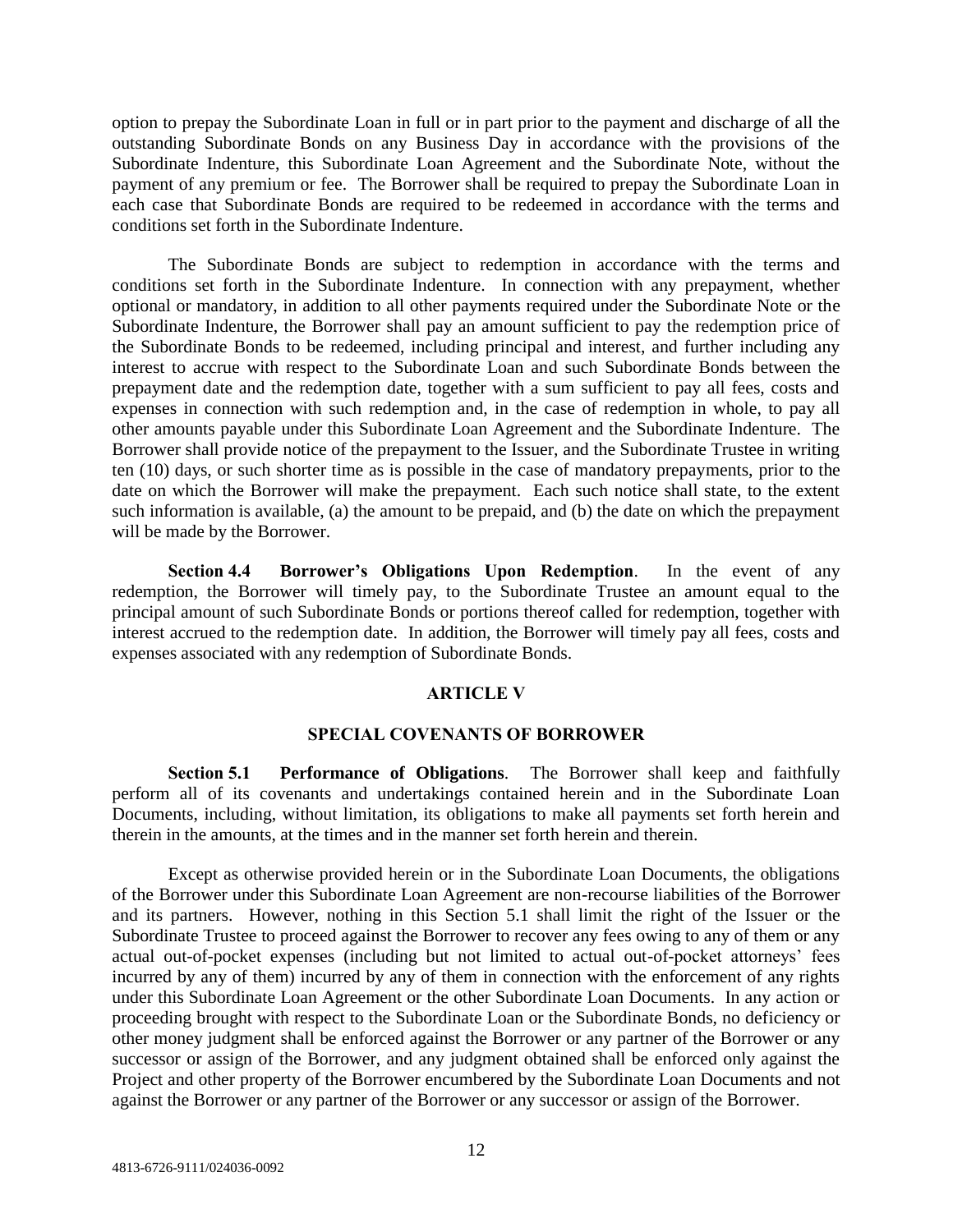option to prepay the Subordinate Loan in full or in part prior to the payment and discharge of all the outstanding Subordinate Bonds on any Business Day in accordance with the provisions of the Subordinate Indenture, this Subordinate Loan Agreement and the Subordinate Note, without the payment of any premium or fee. The Borrower shall be required to prepay the Subordinate Loan in each case that Subordinate Bonds are required to be redeemed in accordance with the terms and conditions set forth in the Subordinate Indenture.

The Subordinate Bonds are subject to redemption in accordance with the terms and conditions set forth in the Subordinate Indenture. In connection with any prepayment, whether optional or mandatory, in addition to all other payments required under the Subordinate Note or the Subordinate Indenture, the Borrower shall pay an amount sufficient to pay the redemption price of the Subordinate Bonds to be redeemed, including principal and interest, and further including any interest to accrue with respect to the Subordinate Loan and such Subordinate Bonds between the prepayment date and the redemption date, together with a sum sufficient to pay all fees, costs and expenses in connection with such redemption and, in the case of redemption in whole, to pay all other amounts payable under this Subordinate Loan Agreement and the Subordinate Indenture. The Borrower shall provide notice of the prepayment to the Issuer, and the Subordinate Trustee in writing ten (10) days, or such shorter time as is possible in the case of mandatory prepayments, prior to the date on which the Borrower will make the prepayment. Each such notice shall state, to the extent such information is available, (a) the amount to be prepaid, and (b) the date on which the prepayment will be made by the Borrower.

**Section 4.4 Borrower's Obligations Upon Redemption**. In the event of any redemption, the Borrower will timely pay, to the Subordinate Trustee an amount equal to the principal amount of such Subordinate Bonds or portions thereof called for redemption, together with interest accrued to the redemption date. In addition, the Borrower will timely pay all fees, costs and expenses associated with any redemption of Subordinate Bonds.

### **ARTICLE V**

#### **SPECIAL COVENANTS OF BORROWER**

**Section 5.1 Performance of Obligations**. The Borrower shall keep and faithfully perform all of its covenants and undertakings contained herein and in the Subordinate Loan Documents, including, without limitation, its obligations to make all payments set forth herein and therein in the amounts, at the times and in the manner set forth herein and therein.

Except as otherwise provided herein or in the Subordinate Loan Documents, the obligations of the Borrower under this Subordinate Loan Agreement are non-recourse liabilities of the Borrower and its partners. However, nothing in this Section 5.1 shall limit the right of the Issuer or the Subordinate Trustee to proceed against the Borrower to recover any fees owing to any of them or any actual out-of-pocket expenses (including but not limited to actual out-of-pocket attorneys' fees incurred by any of them) incurred by any of them in connection with the enforcement of any rights under this Subordinate Loan Agreement or the other Subordinate Loan Documents. In any action or proceeding brought with respect to the Subordinate Loan or the Subordinate Bonds, no deficiency or other money judgment shall be enforced against the Borrower or any partner of the Borrower or any successor or assign of the Borrower, and any judgment obtained shall be enforced only against the Project and other property of the Borrower encumbered by the Subordinate Loan Documents and not against the Borrower or any partner of the Borrower or any successor or assign of the Borrower.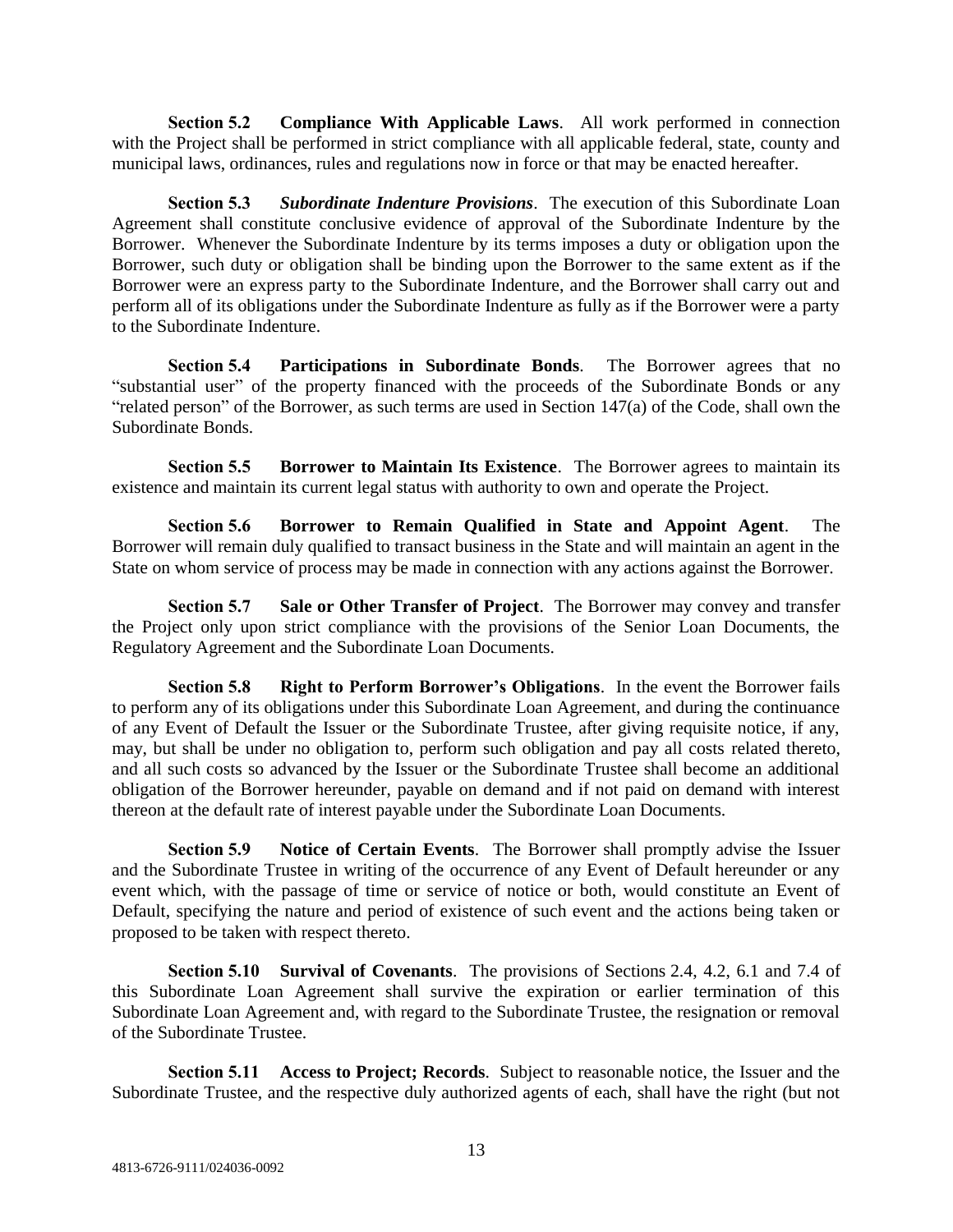**Section 5.2 Compliance With Applicable Laws**. All work performed in connection with the Project shall be performed in strict compliance with all applicable federal, state, county and municipal laws, ordinances, rules and regulations now in force or that may be enacted hereafter.

**Section 5.3** *Subordinate Indenture Provisions*. The execution of this Subordinate Loan Agreement shall constitute conclusive evidence of approval of the Subordinate Indenture by the Borrower. Whenever the Subordinate Indenture by its terms imposes a duty or obligation upon the Borrower, such duty or obligation shall be binding upon the Borrower to the same extent as if the Borrower were an express party to the Subordinate Indenture, and the Borrower shall carry out and perform all of its obligations under the Subordinate Indenture as fully as if the Borrower were a party to the Subordinate Indenture.

**Section 5.4 Participations in Subordinate Bonds**. The Borrower agrees that no "substantial user" of the property financed with the proceeds of the Subordinate Bonds or any "related person" of the Borrower, as such terms are used in Section 147(a) of the Code, shall own the Subordinate Bonds.

**Section 5.5 Borrower to Maintain Its Existence**. The Borrower agrees to maintain its existence and maintain its current legal status with authority to own and operate the Project.

**Section 5.6 Borrower to Remain Qualified in State and Appoint Agent**. The Borrower will remain duly qualified to transact business in the State and will maintain an agent in the State on whom service of process may be made in connection with any actions against the Borrower.

**Section 5.7 Sale or Other Transfer of Project**. The Borrower may convey and transfer the Project only upon strict compliance with the provisions of the Senior Loan Documents, the Regulatory Agreement and the Subordinate Loan Documents.

**Section 5.8 Right to Perform Borrower's Obligations**. In the event the Borrower fails to perform any of its obligations under this Subordinate Loan Agreement, and during the continuance of any Event of Default the Issuer or the Subordinate Trustee, after giving requisite notice, if any, may, but shall be under no obligation to, perform such obligation and pay all costs related thereto, and all such costs so advanced by the Issuer or the Subordinate Trustee shall become an additional obligation of the Borrower hereunder, payable on demand and if not paid on demand with interest thereon at the default rate of interest payable under the Subordinate Loan Documents.

**Section 5.9 Notice of Certain Events**. The Borrower shall promptly advise the Issuer and the Subordinate Trustee in writing of the occurrence of any Event of Default hereunder or any event which, with the passage of time or service of notice or both, would constitute an Event of Default, specifying the nature and period of existence of such event and the actions being taken or proposed to be taken with respect thereto.

**Section 5.10 Survival of Covenants**. The provisions of Sections 2.4, 4.2, 6.1 and 7.4 of this Subordinate Loan Agreement shall survive the expiration or earlier termination of this Subordinate Loan Agreement and, with regard to the Subordinate Trustee, the resignation or removal of the Subordinate Trustee.

**Section 5.11 Access to Project; Records**. Subject to reasonable notice, the Issuer and the Subordinate Trustee, and the respective duly authorized agents of each, shall have the right (but not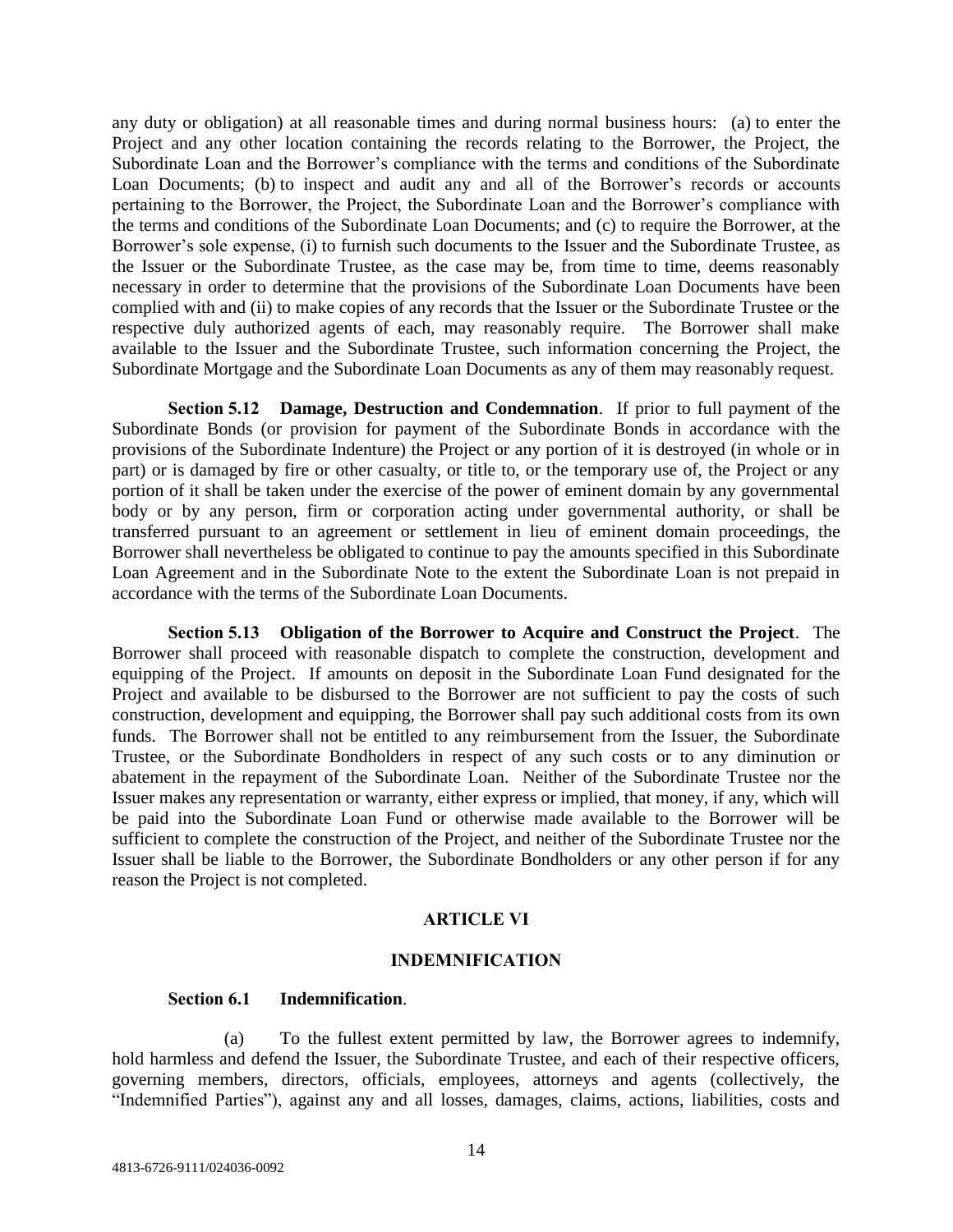any duty or obligation) at all reasonable times and during normal business hours: (a) to enter the Project and any other location containing the records relating to the Borrower, the Project, the Subordinate Loan and the Borrower's compliance with the terms and conditions of the Subordinate Loan Documents; (b) to inspect and audit any and all of the Borrower's records or accounts pertaining to the Borrower, the Project, the Subordinate Loan and the Borrower's compliance with the terms and conditions of the Subordinate Loan Documents; and (c) to require the Borrower, at the Borrower's sole expense, (i) to furnish such documents to the Issuer and the Subordinate Trustee, as the Issuer or the Subordinate Trustee, as the case may be, from time to time, deems reasonably necessary in order to determine that the provisions of the Subordinate Loan Documents have been complied with and (ii) to make copies of any records that the Issuer or the Subordinate Trustee or the respective duly authorized agents of each, may reasonably require. The Borrower shall make available to the Issuer and the Subordinate Trustee, such information concerning the Project, the Subordinate Mortgage and the Subordinate Loan Documents as any of them may reasonably request.

**Section 5.12 Damage, Destruction and Condemnation**. If prior to full payment of the Subordinate Bonds (or provision for payment of the Subordinate Bonds in accordance with the provisions of the Subordinate Indenture) the Project or any portion of it is destroyed (in whole or in part) or is damaged by fire or other casualty, or title to, or the temporary use of, the Project or any portion of it shall be taken under the exercise of the power of eminent domain by any governmental body or by any person, firm or corporation acting under governmental authority, or shall be transferred pursuant to an agreement or settlement in lieu of eminent domain proceedings, the Borrower shall nevertheless be obligated to continue to pay the amounts specified in this Subordinate Loan Agreement and in the Subordinate Note to the extent the Subordinate Loan is not prepaid in accordance with the terms of the Subordinate Loan Documents.

**Section 5.13 Obligation of the Borrower to Acquire and Construct the Project**. The Borrower shall proceed with reasonable dispatch to complete the construction, development and equipping of the Project. If amounts on deposit in the Subordinate Loan Fund designated for the Project and available to be disbursed to the Borrower are not sufficient to pay the costs of such construction, development and equipping, the Borrower shall pay such additional costs from its own funds. The Borrower shall not be entitled to any reimbursement from the Issuer, the Subordinate Trustee, or the Subordinate Bondholders in respect of any such costs or to any diminution or abatement in the repayment of the Subordinate Loan. Neither of the Subordinate Trustee nor the Issuer makes any representation or warranty, either express or implied, that money, if any, which will be paid into the Subordinate Loan Fund or otherwise made available to the Borrower will be sufficient to complete the construction of the Project, and neither of the Subordinate Trustee nor the Issuer shall be liable to the Borrower, the Subordinate Bondholders or any other person if for any reason the Project is not completed.

#### **ARTICLE VI**

#### **INDEMNIFICATION**

#### **Section 6.1 Indemnification**.

(a) To the fullest extent permitted by law, the Borrower agrees to indemnify, hold harmless and defend the Issuer, the Subordinate Trustee, and each of their respective officers, governing members, directors, officials, employees, attorneys and agents (collectively, the "Indemnified Parties"), against any and all losses, damages, claims, actions, liabilities, costs and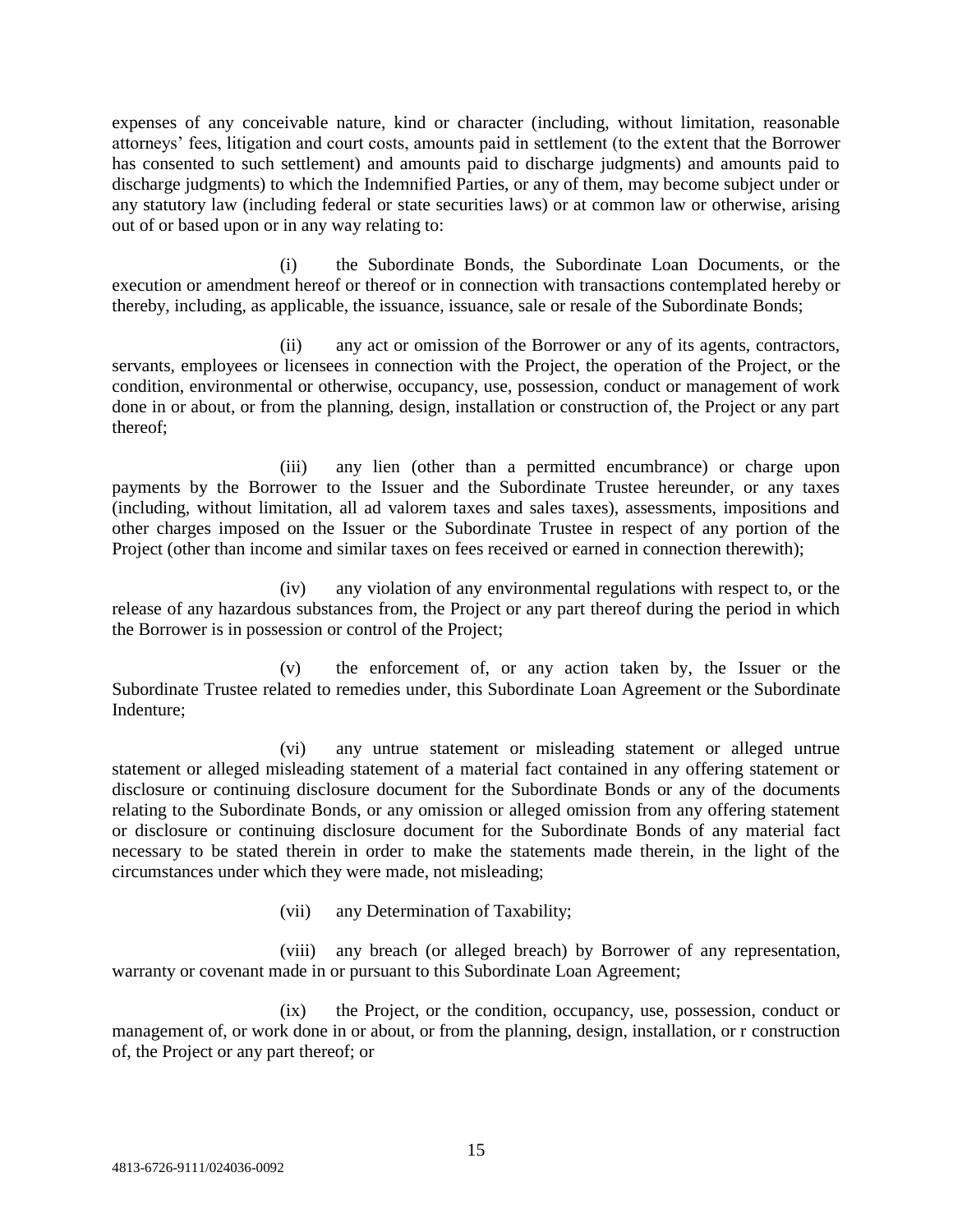expenses of any conceivable nature, kind or character (including, without limitation, reasonable attorneys' fees, litigation and court costs, amounts paid in settlement (to the extent that the Borrower has consented to such settlement) and amounts paid to discharge judgments) and amounts paid to discharge judgments) to which the Indemnified Parties, or any of them, may become subject under or any statutory law (including federal or state securities laws) or at common law or otherwise, arising out of or based upon or in any way relating to:

(i) the Subordinate Bonds, the Subordinate Loan Documents, or the execution or amendment hereof or thereof or in connection with transactions contemplated hereby or thereby, including, as applicable, the issuance, issuance, sale or resale of the Subordinate Bonds;

(ii) any act or omission of the Borrower or any of its agents, contractors, servants, employees or licensees in connection with the Project, the operation of the Project, or the condition, environmental or otherwise, occupancy, use, possession, conduct or management of work done in or about, or from the planning, design, installation or construction of, the Project or any part thereof;

(iii) any lien (other than a permitted encumbrance) or charge upon payments by the Borrower to the Issuer and the Subordinate Trustee hereunder, or any taxes (including, without limitation, all ad valorem taxes and sales taxes), assessments, impositions and other charges imposed on the Issuer or the Subordinate Trustee in respect of any portion of the Project (other than income and similar taxes on fees received or earned in connection therewith);

(iv) any violation of any environmental regulations with respect to, or the release of any hazardous substances from, the Project or any part thereof during the period in which the Borrower is in possession or control of the Project;

(v) the enforcement of, or any action taken by, the Issuer or the Subordinate Trustee related to remedies under, this Subordinate Loan Agreement or the Subordinate Indenture;

(vi) any untrue statement or misleading statement or alleged untrue statement or alleged misleading statement of a material fact contained in any offering statement or disclosure or continuing disclosure document for the Subordinate Bonds or any of the documents relating to the Subordinate Bonds, or any omission or alleged omission from any offering statement or disclosure or continuing disclosure document for the Subordinate Bonds of any material fact necessary to be stated therein in order to make the statements made therein, in the light of the circumstances under which they were made, not misleading;

(vii) any Determination of Taxability;

(viii) any breach (or alleged breach) by Borrower of any representation, warranty or covenant made in or pursuant to this Subordinate Loan Agreement;

(ix) the Project, or the condition, occupancy, use, possession, conduct or management of, or work done in or about, or from the planning, design, installation, or r construction of, the Project or any part thereof; or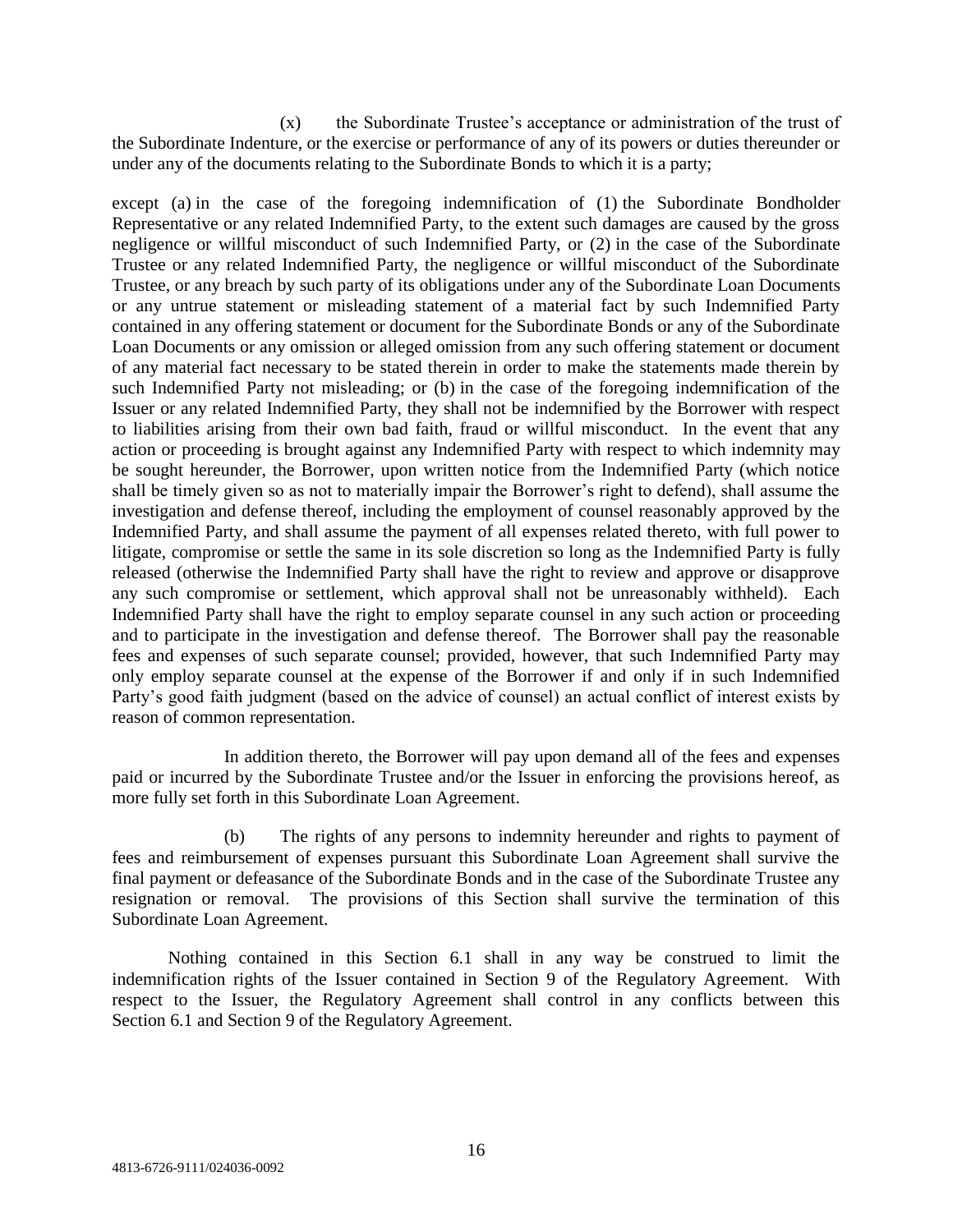(x) the Subordinate Trustee's acceptance or administration of the trust of the Subordinate Indenture, or the exercise or performance of any of its powers or duties thereunder or under any of the documents relating to the Subordinate Bonds to which it is a party;

except (a) in the case of the foregoing indemnification of (1) the Subordinate Bondholder Representative or any related Indemnified Party, to the extent such damages are caused by the gross negligence or willful misconduct of such Indemnified Party, or (2) in the case of the Subordinate Trustee or any related Indemnified Party, the negligence or willful misconduct of the Subordinate Trustee, or any breach by such party of its obligations under any of the Subordinate Loan Documents or any untrue statement or misleading statement of a material fact by such Indemnified Party contained in any offering statement or document for the Subordinate Bonds or any of the Subordinate Loan Documents or any omission or alleged omission from any such offering statement or document of any material fact necessary to be stated therein in order to make the statements made therein by such Indemnified Party not misleading; or (b) in the case of the foregoing indemnification of the Issuer or any related Indemnified Party, they shall not be indemnified by the Borrower with respect to liabilities arising from their own bad faith, fraud or willful misconduct. In the event that any action or proceeding is brought against any Indemnified Party with respect to which indemnity may be sought hereunder, the Borrower, upon written notice from the Indemnified Party (which notice shall be timely given so as not to materially impair the Borrower's right to defend), shall assume the investigation and defense thereof, including the employment of counsel reasonably approved by the Indemnified Party, and shall assume the payment of all expenses related thereto, with full power to litigate, compromise or settle the same in its sole discretion so long as the Indemnified Party is fully released (otherwise the Indemnified Party shall have the right to review and approve or disapprove any such compromise or settlement, which approval shall not be unreasonably withheld). Each Indemnified Party shall have the right to employ separate counsel in any such action or proceeding and to participate in the investigation and defense thereof. The Borrower shall pay the reasonable fees and expenses of such separate counsel; provided, however, that such Indemnified Party may only employ separate counsel at the expense of the Borrower if and only if in such Indemnified Party's good faith judgment (based on the advice of counsel) an actual conflict of interest exists by reason of common representation.

In addition thereto, the Borrower will pay upon demand all of the fees and expenses paid or incurred by the Subordinate Trustee and/or the Issuer in enforcing the provisions hereof, as more fully set forth in this Subordinate Loan Agreement.

(b) The rights of any persons to indemnity hereunder and rights to payment of fees and reimbursement of expenses pursuant this Subordinate Loan Agreement shall survive the final payment or defeasance of the Subordinate Bonds and in the case of the Subordinate Trustee any resignation or removal. The provisions of this Section shall survive the termination of this Subordinate Loan Agreement.

Nothing contained in this Section 6.1 shall in any way be construed to limit the indemnification rights of the Issuer contained in Section 9 of the Regulatory Agreement. With respect to the Issuer, the Regulatory Agreement shall control in any conflicts between this Section 6.1 and Section 9 of the Regulatory Agreement.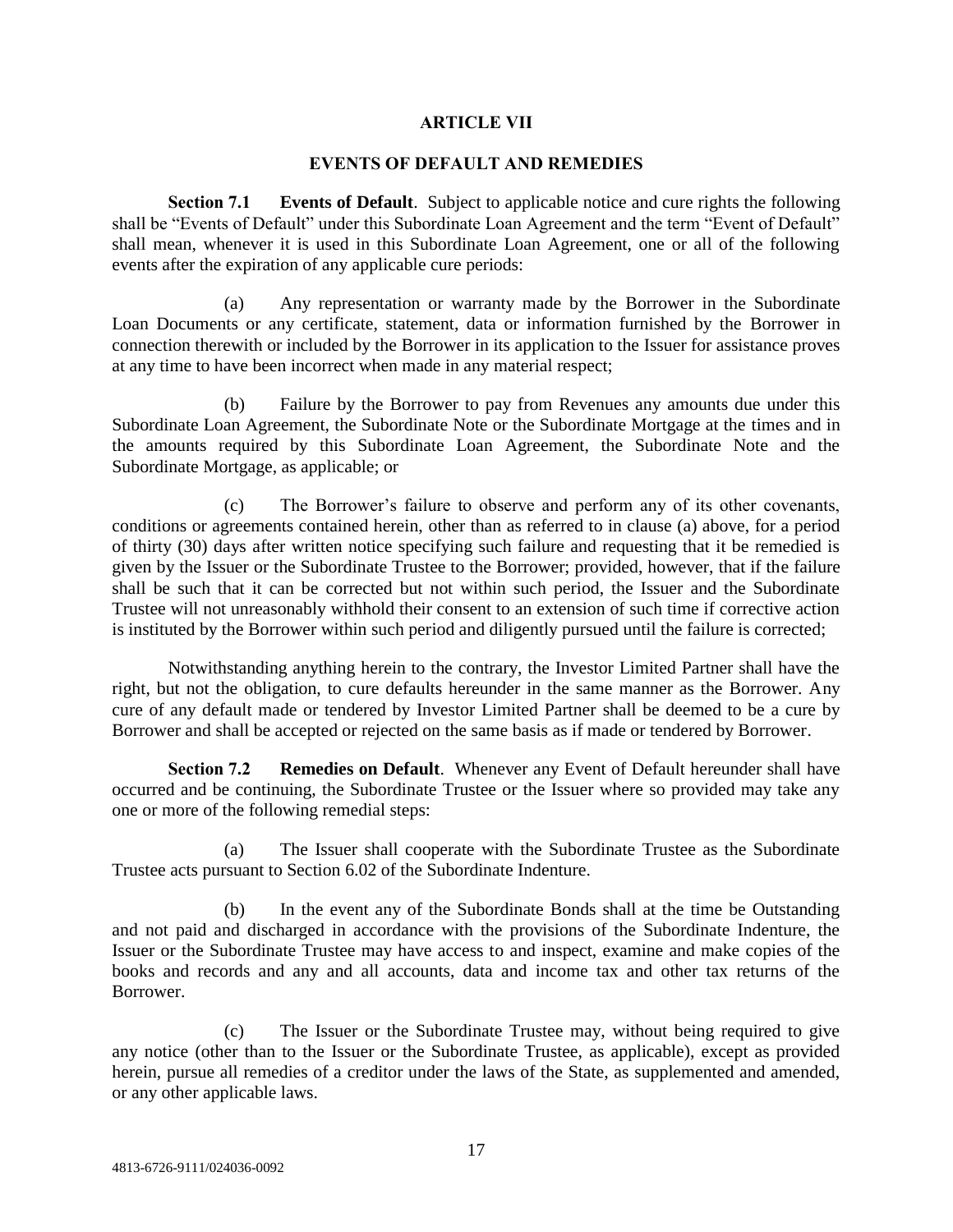#### **ARTICLE VII**

### **EVENTS OF DEFAULT AND REMEDIES**

**Section 7.1 Events of Default**. Subject to applicable notice and cure rights the following shall be "Events of Default" under this Subordinate Loan Agreement and the term "Event of Default" shall mean, whenever it is used in this Subordinate Loan Agreement, one or all of the following events after the expiration of any applicable cure periods:

(a) Any representation or warranty made by the Borrower in the Subordinate Loan Documents or any certificate, statement, data or information furnished by the Borrower in connection therewith or included by the Borrower in its application to the Issuer for assistance proves at any time to have been incorrect when made in any material respect;

(b) Failure by the Borrower to pay from Revenues any amounts due under this Subordinate Loan Agreement, the Subordinate Note or the Subordinate Mortgage at the times and in the amounts required by this Subordinate Loan Agreement, the Subordinate Note and the Subordinate Mortgage, as applicable; or

(c) The Borrower's failure to observe and perform any of its other covenants, conditions or agreements contained herein, other than as referred to in clause (a) above, for a period of thirty (30) days after written notice specifying such failure and requesting that it be remedied is given by the Issuer or the Subordinate Trustee to the Borrower; provided, however, that if the failure shall be such that it can be corrected but not within such period, the Issuer and the Subordinate Trustee will not unreasonably withhold their consent to an extension of such time if corrective action is instituted by the Borrower within such period and diligently pursued until the failure is corrected;

Notwithstanding anything herein to the contrary, the Investor Limited Partner shall have the right, but not the obligation, to cure defaults hereunder in the same manner as the Borrower. Any cure of any default made or tendered by Investor Limited Partner shall be deemed to be a cure by Borrower and shall be accepted or rejected on the same basis as if made or tendered by Borrower.

**Section 7.2 Remedies on Default**. Whenever any Event of Default hereunder shall have occurred and be continuing, the Subordinate Trustee or the Issuer where so provided may take any one or more of the following remedial steps:

(a) The Issuer shall cooperate with the Subordinate Trustee as the Subordinate Trustee acts pursuant to Section 6.02 of the Subordinate Indenture.

(b) In the event any of the Subordinate Bonds shall at the time be Outstanding and not paid and discharged in accordance with the provisions of the Subordinate Indenture, the Issuer or the Subordinate Trustee may have access to and inspect, examine and make copies of the books and records and any and all accounts, data and income tax and other tax returns of the Borrower.

(c) The Issuer or the Subordinate Trustee may, without being required to give any notice (other than to the Issuer or the Subordinate Trustee, as applicable), except as provided herein, pursue all remedies of a creditor under the laws of the State, as supplemented and amended, or any other applicable laws.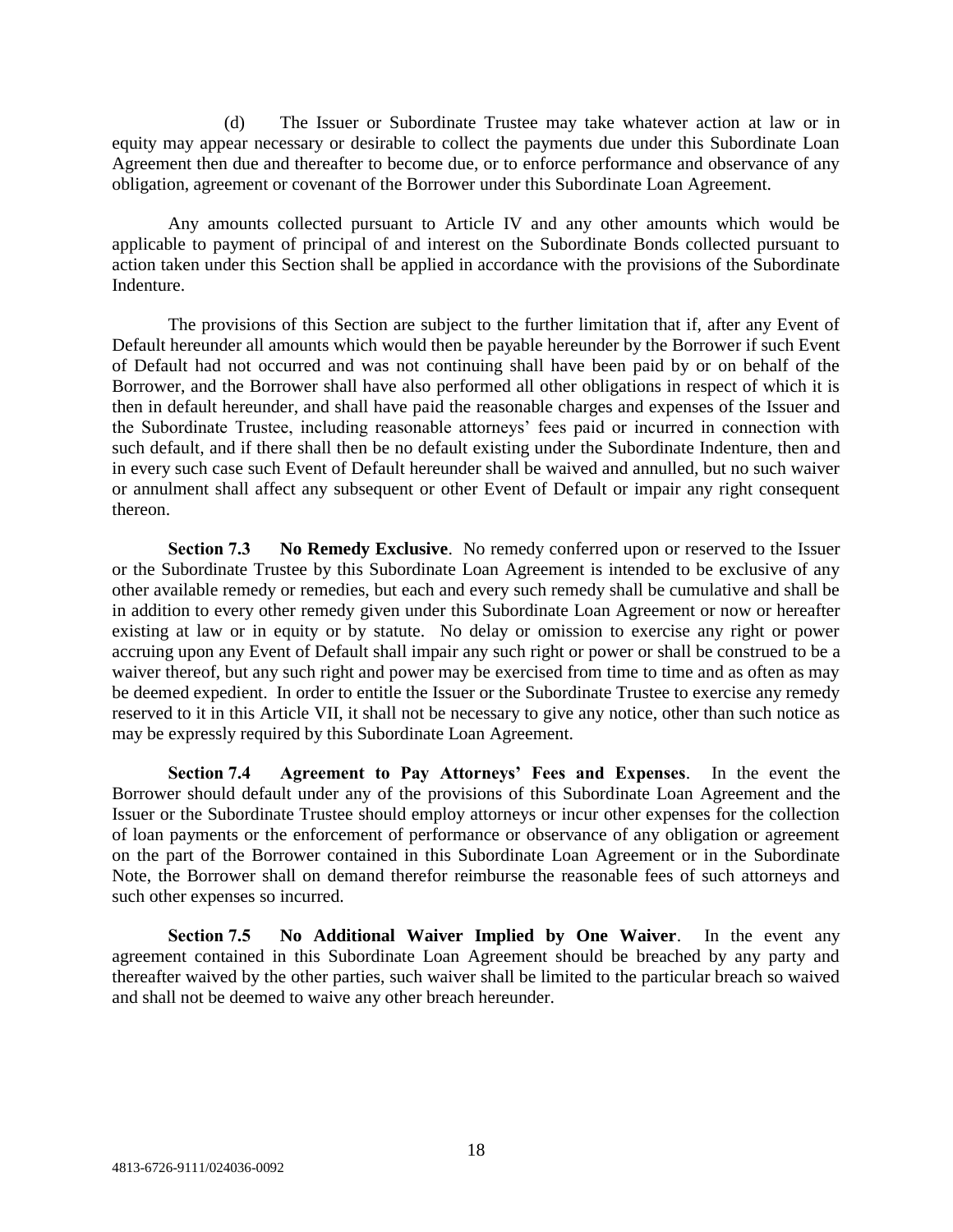(d) The Issuer or Subordinate Trustee may take whatever action at law or in equity may appear necessary or desirable to collect the payments due under this Subordinate Loan Agreement then due and thereafter to become due, or to enforce performance and observance of any obligation, agreement or covenant of the Borrower under this Subordinate Loan Agreement.

Any amounts collected pursuant to Article IV and any other amounts which would be applicable to payment of principal of and interest on the Subordinate Bonds collected pursuant to action taken under this Section shall be applied in accordance with the provisions of the Subordinate Indenture.

The provisions of this Section are subject to the further limitation that if, after any Event of Default hereunder all amounts which would then be payable hereunder by the Borrower if such Event of Default had not occurred and was not continuing shall have been paid by or on behalf of the Borrower, and the Borrower shall have also performed all other obligations in respect of which it is then in default hereunder, and shall have paid the reasonable charges and expenses of the Issuer and the Subordinate Trustee, including reasonable attorneys' fees paid or incurred in connection with such default, and if there shall then be no default existing under the Subordinate Indenture, then and in every such case such Event of Default hereunder shall be waived and annulled, but no such waiver or annulment shall affect any subsequent or other Event of Default or impair any right consequent thereon.

**Section 7.3 No Remedy Exclusive**. No remedy conferred upon or reserved to the Issuer or the Subordinate Trustee by this Subordinate Loan Agreement is intended to be exclusive of any other available remedy or remedies, but each and every such remedy shall be cumulative and shall be in addition to every other remedy given under this Subordinate Loan Agreement or now or hereafter existing at law or in equity or by statute. No delay or omission to exercise any right or power accruing upon any Event of Default shall impair any such right or power or shall be construed to be a waiver thereof, but any such right and power may be exercised from time to time and as often as may be deemed expedient. In order to entitle the Issuer or the Subordinate Trustee to exercise any remedy reserved to it in this Article VII, it shall not be necessary to give any notice, other than such notice as may be expressly required by this Subordinate Loan Agreement.

**Section 7.4 Agreement to Pay Attorneys' Fees and Expenses**. In the event the Borrower should default under any of the provisions of this Subordinate Loan Agreement and the Issuer or the Subordinate Trustee should employ attorneys or incur other expenses for the collection of loan payments or the enforcement of performance or observance of any obligation or agreement on the part of the Borrower contained in this Subordinate Loan Agreement or in the Subordinate Note, the Borrower shall on demand therefor reimburse the reasonable fees of such attorneys and such other expenses so incurred.

**Section 7.5 No Additional Waiver Implied by One Waiver**. In the event any agreement contained in this Subordinate Loan Agreement should be breached by any party and thereafter waived by the other parties, such waiver shall be limited to the particular breach so waived and shall not be deemed to waive any other breach hereunder.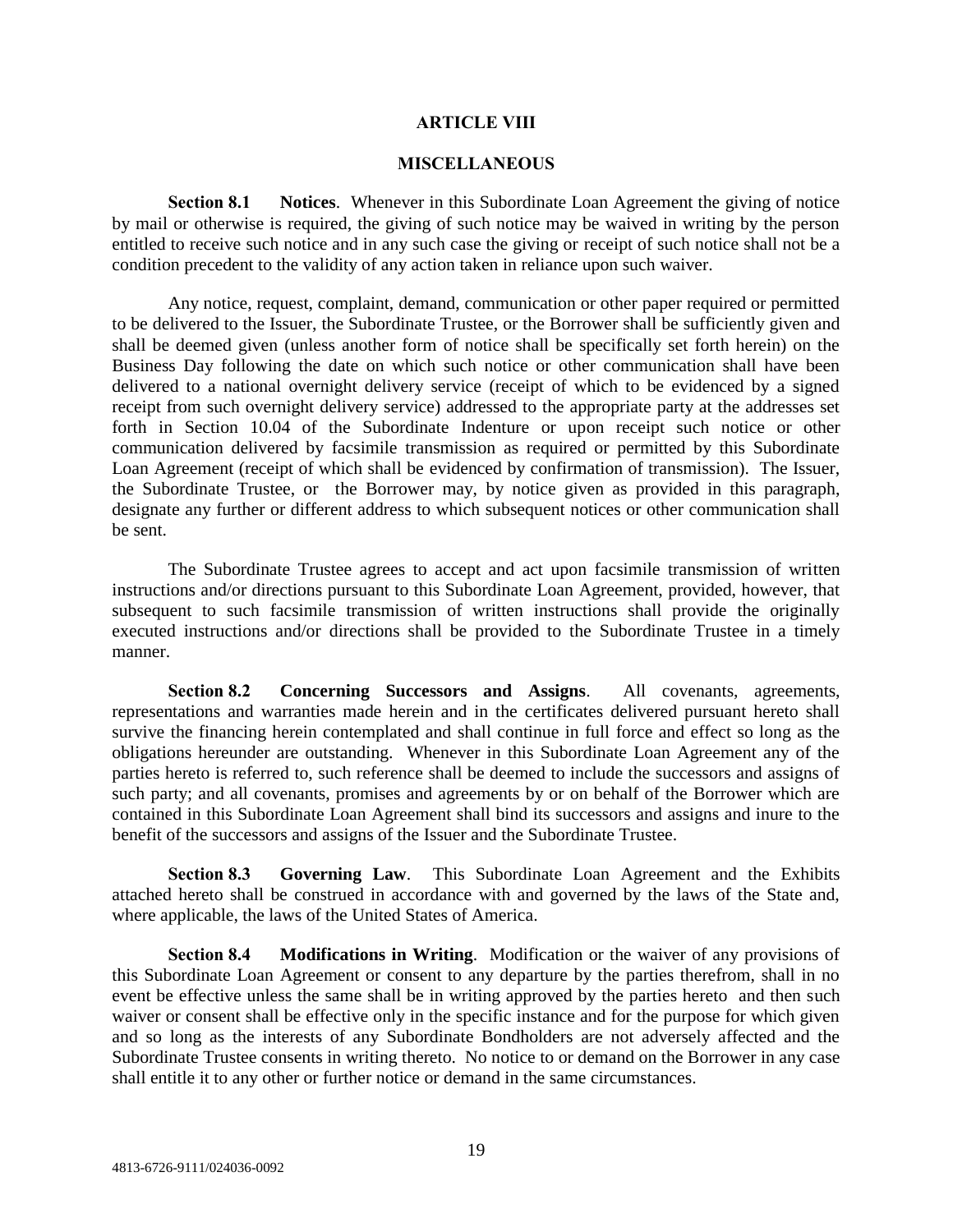#### **ARTICLE VIII**

#### **MISCELLANEOUS**

**Section 8.1 Notices**. Whenever in this Subordinate Loan Agreement the giving of notice by mail or otherwise is required, the giving of such notice may be waived in writing by the person entitled to receive such notice and in any such case the giving or receipt of such notice shall not be a condition precedent to the validity of any action taken in reliance upon such waiver.

Any notice, request, complaint, demand, communication or other paper required or permitted to be delivered to the Issuer, the Subordinate Trustee, or the Borrower shall be sufficiently given and shall be deemed given (unless another form of notice shall be specifically set forth herein) on the Business Day following the date on which such notice or other communication shall have been delivered to a national overnight delivery service (receipt of which to be evidenced by a signed receipt from such overnight delivery service) addressed to the appropriate party at the addresses set forth in Section 10.04 of the Subordinate Indenture or upon receipt such notice or other communication delivered by facsimile transmission as required or permitted by this Subordinate Loan Agreement (receipt of which shall be evidenced by confirmation of transmission). The Issuer, the Subordinate Trustee, or the Borrower may, by notice given as provided in this paragraph, designate any further or different address to which subsequent notices or other communication shall be sent.

The Subordinate Trustee agrees to accept and act upon facsimile transmission of written instructions and/or directions pursuant to this Subordinate Loan Agreement, provided, however, that subsequent to such facsimile transmission of written instructions shall provide the originally executed instructions and/or directions shall be provided to the Subordinate Trustee in a timely manner.

**Section 8.2 Concerning Successors and Assigns**. All covenants, agreements, representations and warranties made herein and in the certificates delivered pursuant hereto shall survive the financing herein contemplated and shall continue in full force and effect so long as the obligations hereunder are outstanding. Whenever in this Subordinate Loan Agreement any of the parties hereto is referred to, such reference shall be deemed to include the successors and assigns of such party; and all covenants, promises and agreements by or on behalf of the Borrower which are contained in this Subordinate Loan Agreement shall bind its successors and assigns and inure to the benefit of the successors and assigns of the Issuer and the Subordinate Trustee.

**Section 8.3 Governing Law**. This Subordinate Loan Agreement and the Exhibits attached hereto shall be construed in accordance with and governed by the laws of the State and, where applicable, the laws of the United States of America.

**Section 8.4 Modifications in Writing**. Modification or the waiver of any provisions of this Subordinate Loan Agreement or consent to any departure by the parties therefrom, shall in no event be effective unless the same shall be in writing approved by the parties hereto and then such waiver or consent shall be effective only in the specific instance and for the purpose for which given and so long as the interests of any Subordinate Bondholders are not adversely affected and the Subordinate Trustee consents in writing thereto. No notice to or demand on the Borrower in any case shall entitle it to any other or further notice or demand in the same circumstances.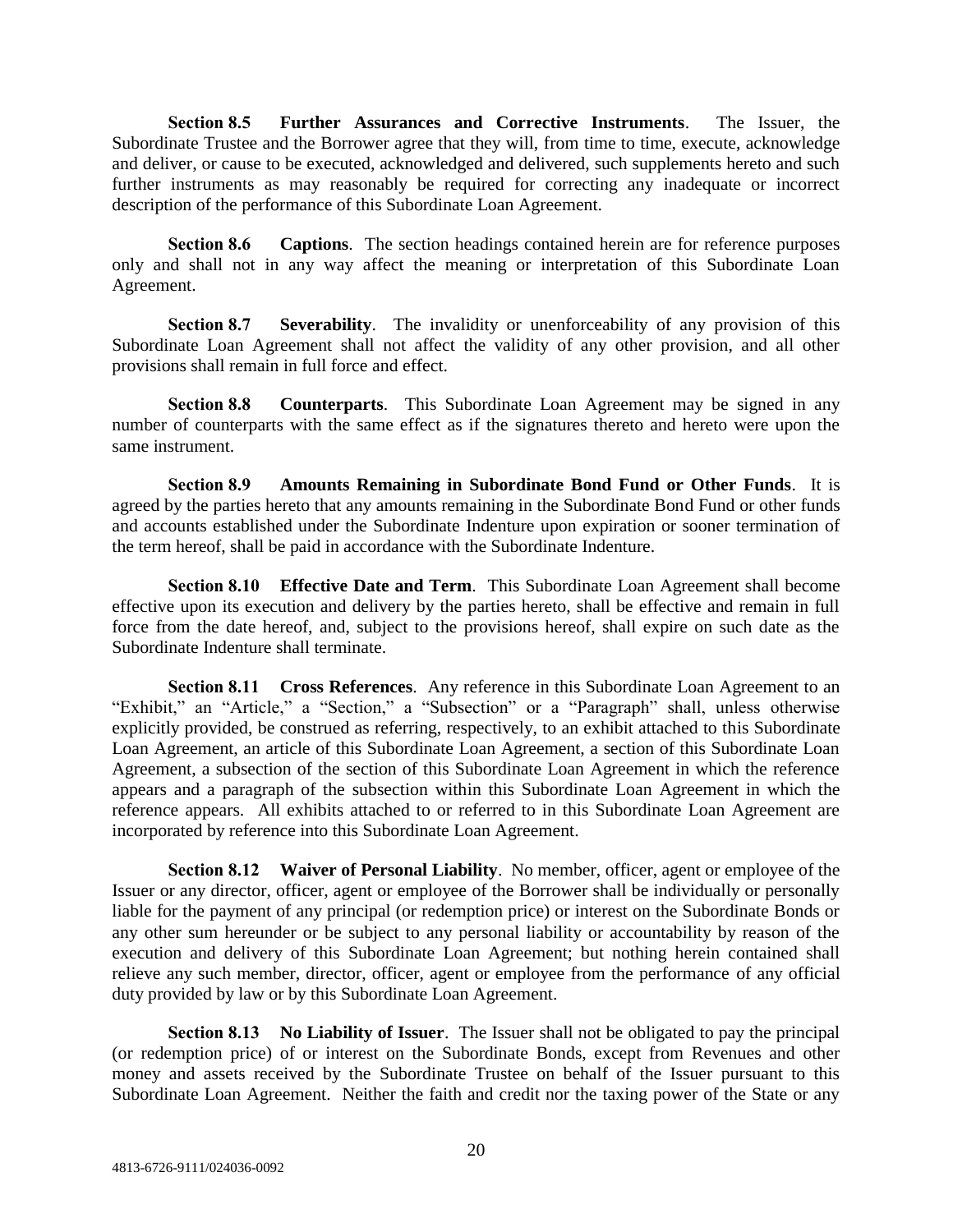**Section 8.5 Further Assurances and Corrective Instruments**. The Issuer, the Subordinate Trustee and the Borrower agree that they will, from time to time, execute, acknowledge and deliver, or cause to be executed, acknowledged and delivered, such supplements hereto and such further instruments as may reasonably be required for correcting any inadequate or incorrect description of the performance of this Subordinate Loan Agreement.

**Section 8.6 Captions**. The section headings contained herein are for reference purposes only and shall not in any way affect the meaning or interpretation of this Subordinate Loan Agreement.

**Section 8.7 Severability**. The invalidity or unenforceability of any provision of this Subordinate Loan Agreement shall not affect the validity of any other provision, and all other provisions shall remain in full force and effect.

**Section 8.8 Counterparts**. This Subordinate Loan Agreement may be signed in any number of counterparts with the same effect as if the signatures thereto and hereto were upon the same instrument.

**Section 8.9 Amounts Remaining in Subordinate Bond Fund or Other Funds**. It is agreed by the parties hereto that any amounts remaining in the Subordinate Bond Fund or other funds and accounts established under the Subordinate Indenture upon expiration or sooner termination of the term hereof, shall be paid in accordance with the Subordinate Indenture.

**Section 8.10 Effective Date and Term**. This Subordinate Loan Agreement shall become effective upon its execution and delivery by the parties hereto, shall be effective and remain in full force from the date hereof, and, subject to the provisions hereof, shall expire on such date as the Subordinate Indenture shall terminate.

**Section 8.11 Cross References**. Any reference in this Subordinate Loan Agreement to an "Exhibit," an "Article," a "Section," a "Subsection" or a "Paragraph" shall, unless otherwise explicitly provided, be construed as referring, respectively, to an exhibit attached to this Subordinate Loan Agreement, an article of this Subordinate Loan Agreement, a section of this Subordinate Loan Agreement, a subsection of the section of this Subordinate Loan Agreement in which the reference appears and a paragraph of the subsection within this Subordinate Loan Agreement in which the reference appears. All exhibits attached to or referred to in this Subordinate Loan Agreement are incorporated by reference into this Subordinate Loan Agreement.

**Section 8.12 Waiver of Personal Liability**. No member, officer, agent or employee of the Issuer or any director, officer, agent or employee of the Borrower shall be individually or personally liable for the payment of any principal (or redemption price) or interest on the Subordinate Bonds or any other sum hereunder or be subject to any personal liability or accountability by reason of the execution and delivery of this Subordinate Loan Agreement; but nothing herein contained shall relieve any such member, director, officer, agent or employee from the performance of any official duty provided by law or by this Subordinate Loan Agreement.

**Section 8.13 No Liability of Issuer**. The Issuer shall not be obligated to pay the principal (or redemption price) of or interest on the Subordinate Bonds, except from Revenues and other money and assets received by the Subordinate Trustee on behalf of the Issuer pursuant to this Subordinate Loan Agreement. Neither the faith and credit nor the taxing power of the State or any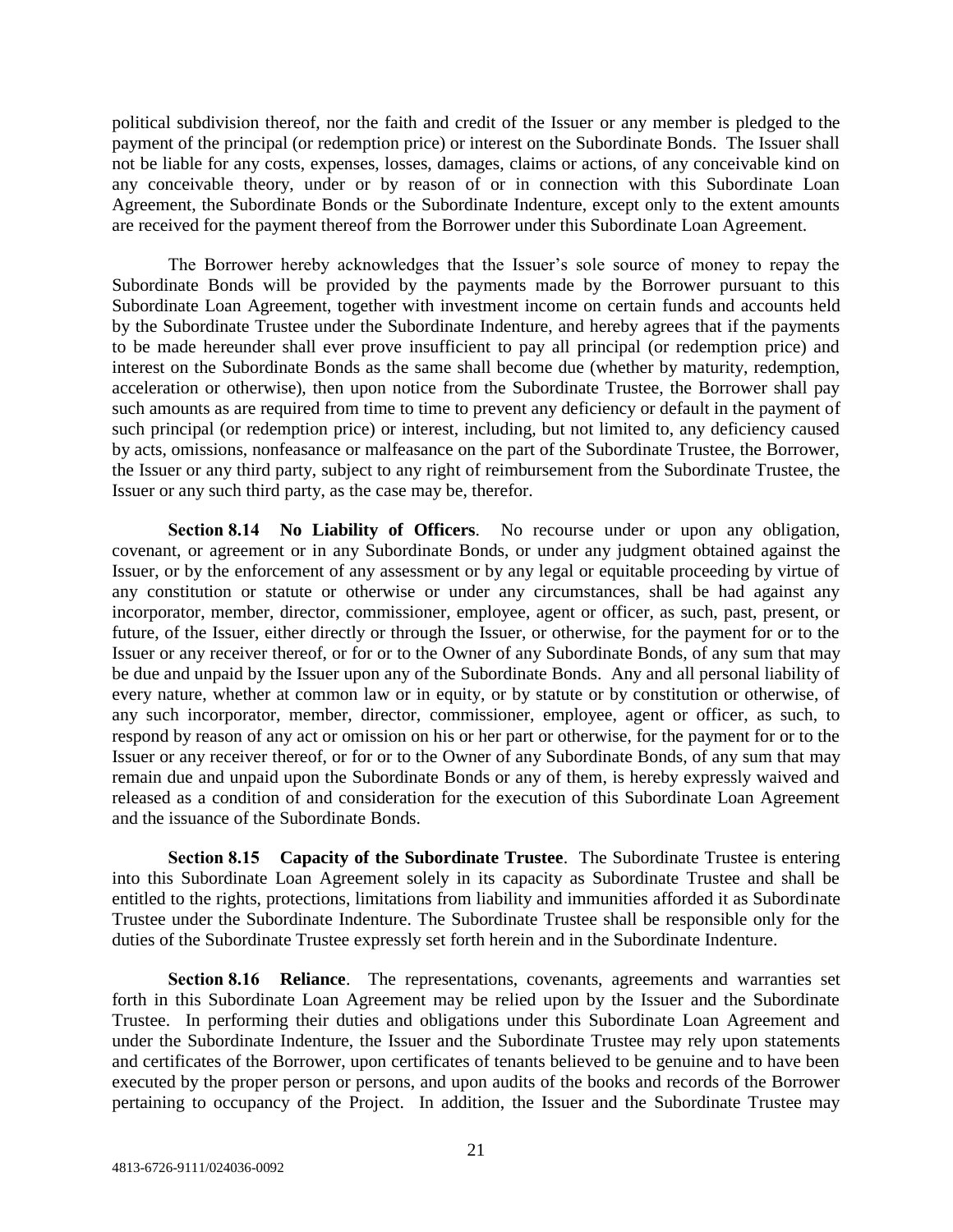political subdivision thereof, nor the faith and credit of the Issuer or any member is pledged to the payment of the principal (or redemption price) or interest on the Subordinate Bonds. The Issuer shall not be liable for any costs, expenses, losses, damages, claims or actions, of any conceivable kind on any conceivable theory, under or by reason of or in connection with this Subordinate Loan Agreement, the Subordinate Bonds or the Subordinate Indenture, except only to the extent amounts are received for the payment thereof from the Borrower under this Subordinate Loan Agreement.

The Borrower hereby acknowledges that the Issuer's sole source of money to repay the Subordinate Bonds will be provided by the payments made by the Borrower pursuant to this Subordinate Loan Agreement, together with investment income on certain funds and accounts held by the Subordinate Trustee under the Subordinate Indenture, and hereby agrees that if the payments to be made hereunder shall ever prove insufficient to pay all principal (or redemption price) and interest on the Subordinate Bonds as the same shall become due (whether by maturity, redemption, acceleration or otherwise), then upon notice from the Subordinate Trustee, the Borrower shall pay such amounts as are required from time to time to prevent any deficiency or default in the payment of such principal (or redemption price) or interest, including, but not limited to, any deficiency caused by acts, omissions, nonfeasance or malfeasance on the part of the Subordinate Trustee, the Borrower, the Issuer or any third party, subject to any right of reimbursement from the Subordinate Trustee, the Issuer or any such third party, as the case may be, therefor.

**Section 8.14 No Liability of Officers**. No recourse under or upon any obligation, covenant, or agreement or in any Subordinate Bonds, or under any judgment obtained against the Issuer, or by the enforcement of any assessment or by any legal or equitable proceeding by virtue of any constitution or statute or otherwise or under any circumstances, shall be had against any incorporator, member, director, commissioner, employee, agent or officer, as such, past, present, or future, of the Issuer, either directly or through the Issuer, or otherwise, for the payment for or to the Issuer or any receiver thereof, or for or to the Owner of any Subordinate Bonds, of any sum that may be due and unpaid by the Issuer upon any of the Subordinate Bonds. Any and all personal liability of every nature, whether at common law or in equity, or by statute or by constitution or otherwise, of any such incorporator, member, director, commissioner, employee, agent or officer, as such, to respond by reason of any act or omission on his or her part or otherwise, for the payment for or to the Issuer or any receiver thereof, or for or to the Owner of any Subordinate Bonds, of any sum that may remain due and unpaid upon the Subordinate Bonds or any of them, is hereby expressly waived and released as a condition of and consideration for the execution of this Subordinate Loan Agreement and the issuance of the Subordinate Bonds.

**Section 8.15 Capacity of the Subordinate Trustee**. The Subordinate Trustee is entering into this Subordinate Loan Agreement solely in its capacity as Subordinate Trustee and shall be entitled to the rights, protections, limitations from liability and immunities afforded it as Subordinate Trustee under the Subordinate Indenture. The Subordinate Trustee shall be responsible only for the duties of the Subordinate Trustee expressly set forth herein and in the Subordinate Indenture.

**Section 8.16 Reliance**. The representations, covenants, agreements and warranties set forth in this Subordinate Loan Agreement may be relied upon by the Issuer and the Subordinate Trustee. In performing their duties and obligations under this Subordinate Loan Agreement and under the Subordinate Indenture, the Issuer and the Subordinate Trustee may rely upon statements and certificates of the Borrower, upon certificates of tenants believed to be genuine and to have been executed by the proper person or persons, and upon audits of the books and records of the Borrower pertaining to occupancy of the Project. In addition, the Issuer and the Subordinate Trustee may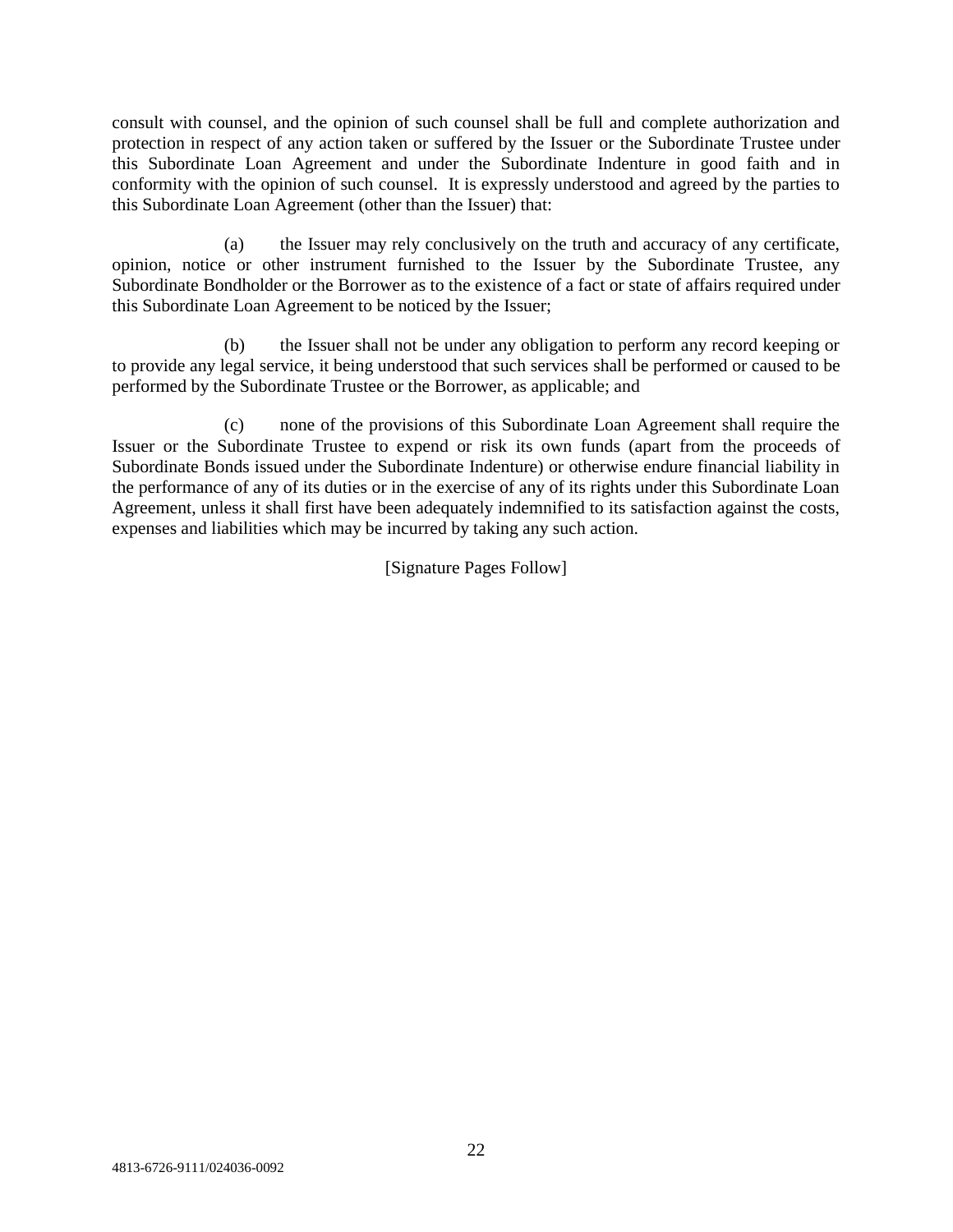consult with counsel, and the opinion of such counsel shall be full and complete authorization and protection in respect of any action taken or suffered by the Issuer or the Subordinate Trustee under this Subordinate Loan Agreement and under the Subordinate Indenture in good faith and in conformity with the opinion of such counsel. It is expressly understood and agreed by the parties to this Subordinate Loan Agreement (other than the Issuer) that:

(a) the Issuer may rely conclusively on the truth and accuracy of any certificate, opinion, notice or other instrument furnished to the Issuer by the Subordinate Trustee, any Subordinate Bondholder or the Borrower as to the existence of a fact or state of affairs required under this Subordinate Loan Agreement to be noticed by the Issuer;

(b) the Issuer shall not be under any obligation to perform any record keeping or to provide any legal service, it being understood that such services shall be performed or caused to be performed by the Subordinate Trustee or the Borrower, as applicable; and

(c) none of the provisions of this Subordinate Loan Agreement shall require the Issuer or the Subordinate Trustee to expend or risk its own funds (apart from the proceeds of Subordinate Bonds issued under the Subordinate Indenture) or otherwise endure financial liability in the performance of any of its duties or in the exercise of any of its rights under this Subordinate Loan Agreement, unless it shall first have been adequately indemnified to its satisfaction against the costs, expenses and liabilities which may be incurred by taking any such action.

[Signature Pages Follow]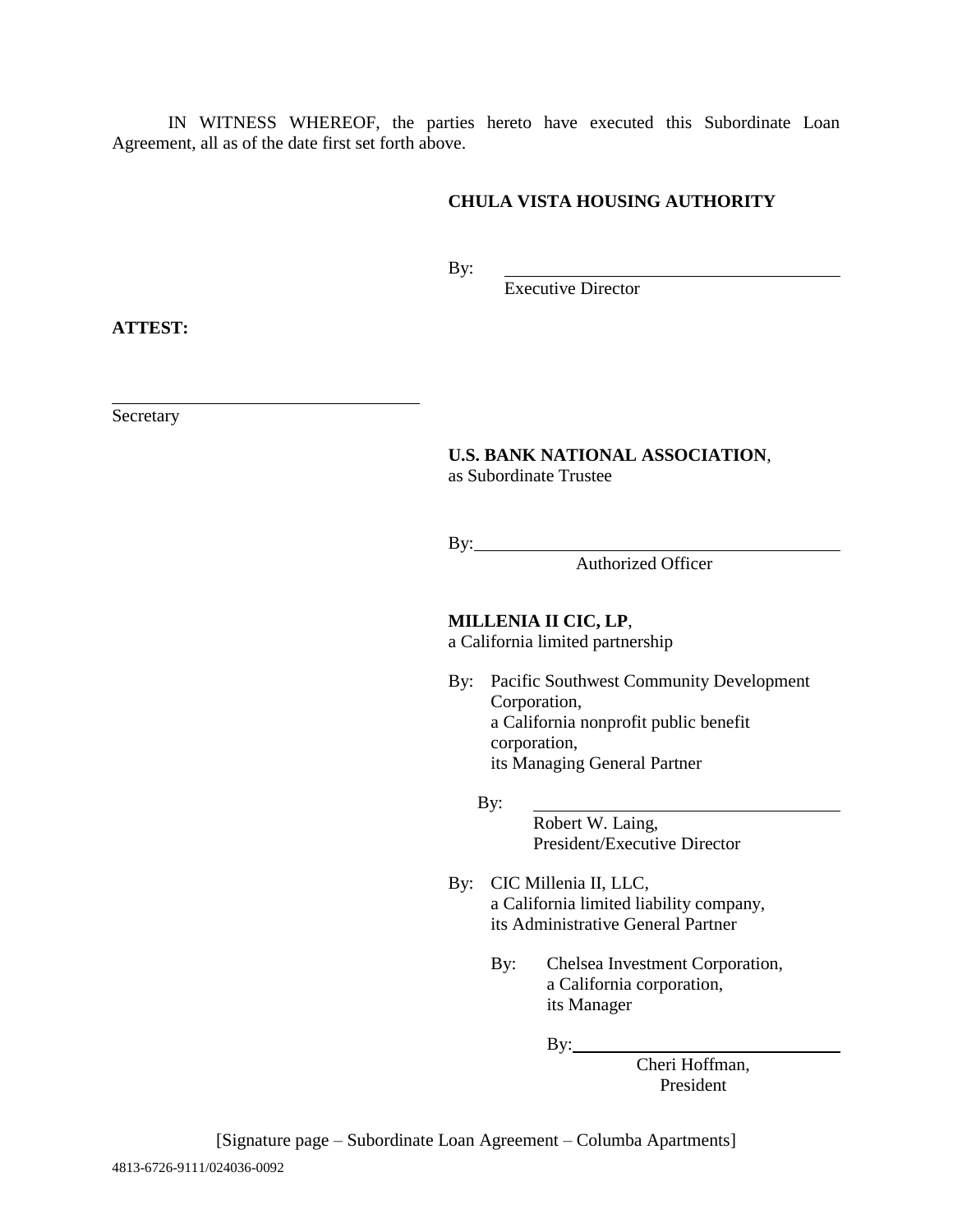IN WITNESS WHEREOF, the parties hereto have executed this Subordinate Loan Agreement, all as of the date first set forth above.

# **CHULA VISTA HOUSING AUTHORITY**

By:

Executive Director

**ATTEST:**

Secretary

#### **U.S. BANK NATIONAL ASSOCIATION**, as Subordinate Trustee

By:

Authorized Officer

**MILLENIA II CIC, LP**, a California limited partnership

By: Pacific Southwest Community Development Corporation, a California nonprofit public benefit corporation, its Managing General Partner

By:

Robert W. Laing, President/Executive Director

By: CIC Millenia II, LLC, a California limited liability company, its Administrative General Partner

> By: Chelsea Investment Corporation, a California corporation, its Manager

> > By:

Cheri Hoffman, President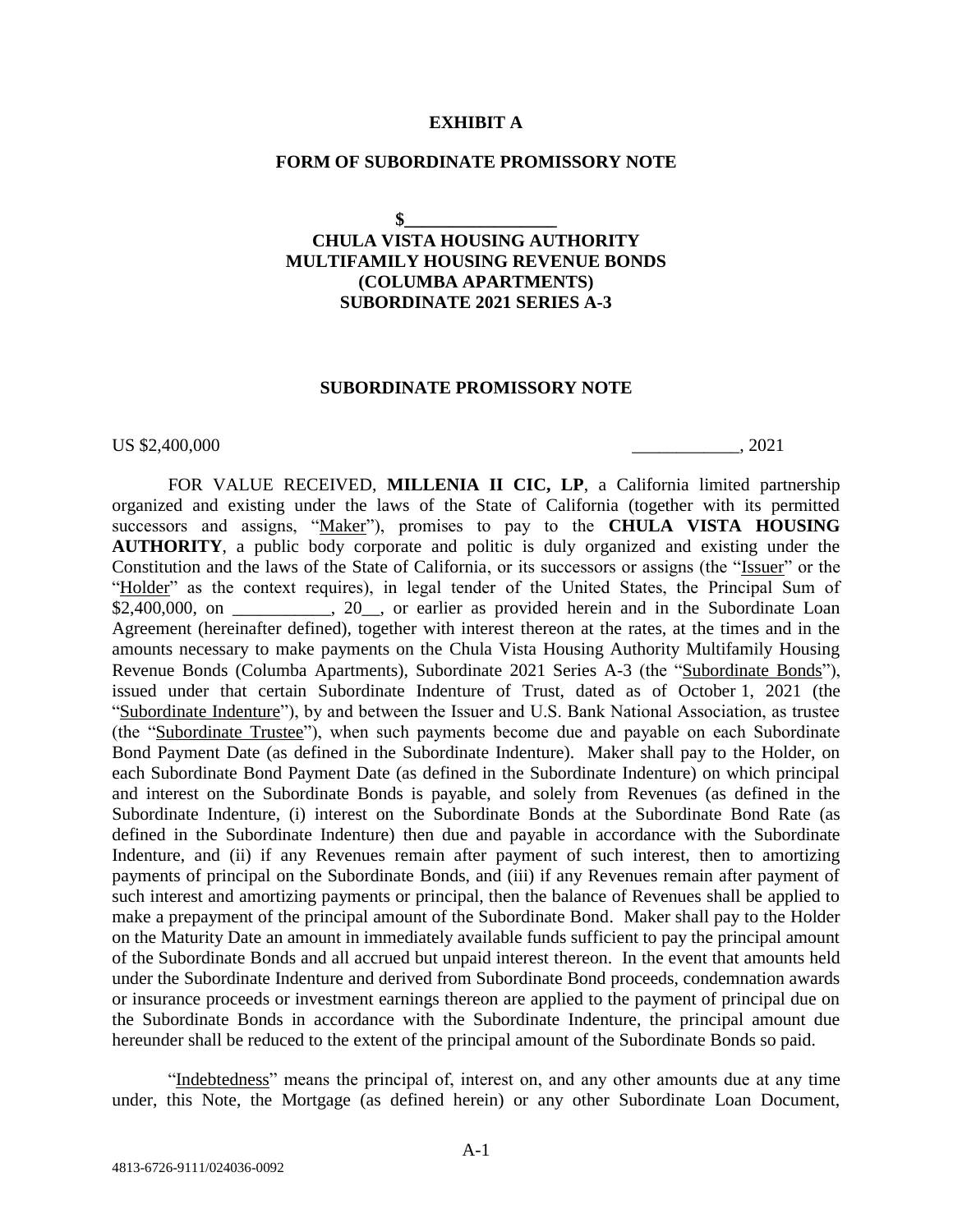#### **EXHIBIT A**

#### **FORM OF SUBORDINATE PROMISSORY NOTE**

**\$\_\_\_\_\_\_\_\_\_\_\_\_\_\_\_\_\_**

# **CHULA VISTA HOUSING AUTHORITY MULTIFAMILY HOUSING REVENUE BONDS (COLUMBA APARTMENTS) SUBORDINATE 2021 SERIES A-3**

#### **SUBORDINATE PROMISSORY NOTE**

US \$2,400,000  $\qquad \qquad$  . 2021

FOR VALUE RECEIVED, MILLENIA II CIC, LP, a California limited partnership organized and existing under the laws of the State of California (together with its permitted successors and assigns, "Maker"), promises to pay to the **CHULA VISTA HOUSING AUTHORITY**, a public body corporate and politic is duly organized and existing under the Constitution and the laws of the State of California, or its successors or assigns (the "Issuer" or the "Holder" as the context requires), in legal tender of the United States, the Principal Sum of \$2,400,000, on \_\_\_\_\_\_\_\_, 20\_, or earlier as provided herein and in the Subordinate Loan Agreement (hereinafter defined), together with interest thereon at the rates, at the times and in the amounts necessary to make payments on the Chula Vista Housing Authority Multifamily Housing Revenue Bonds (Columba Apartments), Subordinate 2021 Series A-3 (the "Subordinate Bonds"), issued under that certain Subordinate Indenture of Trust, dated as of October 1, 2021 (the "Subordinate Indenture"), by and between the Issuer and U.S. Bank National Association, as trustee (the "Subordinate Trustee"), when such payments become due and payable on each Subordinate Bond Payment Date (as defined in the Subordinate Indenture). Maker shall pay to the Holder, on each Subordinate Bond Payment Date (as defined in the Subordinate Indenture) on which principal and interest on the Subordinate Bonds is payable, and solely from Revenues (as defined in the Subordinate Indenture, (i) interest on the Subordinate Bonds at the Subordinate Bond Rate (as defined in the Subordinate Indenture) then due and payable in accordance with the Subordinate Indenture, and (ii) if any Revenues remain after payment of such interest, then to amortizing payments of principal on the Subordinate Bonds, and (iii) if any Revenues remain after payment of such interest and amortizing payments or principal, then the balance of Revenues shall be applied to make a prepayment of the principal amount of the Subordinate Bond. Maker shall pay to the Holder on the Maturity Date an amount in immediately available funds sufficient to pay the principal amount of the Subordinate Bonds and all accrued but unpaid interest thereon. In the event that amounts held under the Subordinate Indenture and derived from Subordinate Bond proceeds, condemnation awards or insurance proceeds or investment earnings thereon are applied to the payment of principal due on the Subordinate Bonds in accordance with the Subordinate Indenture, the principal amount due hereunder shall be reduced to the extent of the principal amount of the Subordinate Bonds so paid.

"Indebtedness" means the principal of, interest on, and any other amounts due at any time under, this Note, the Mortgage (as defined herein) or any other Subordinate Loan Document,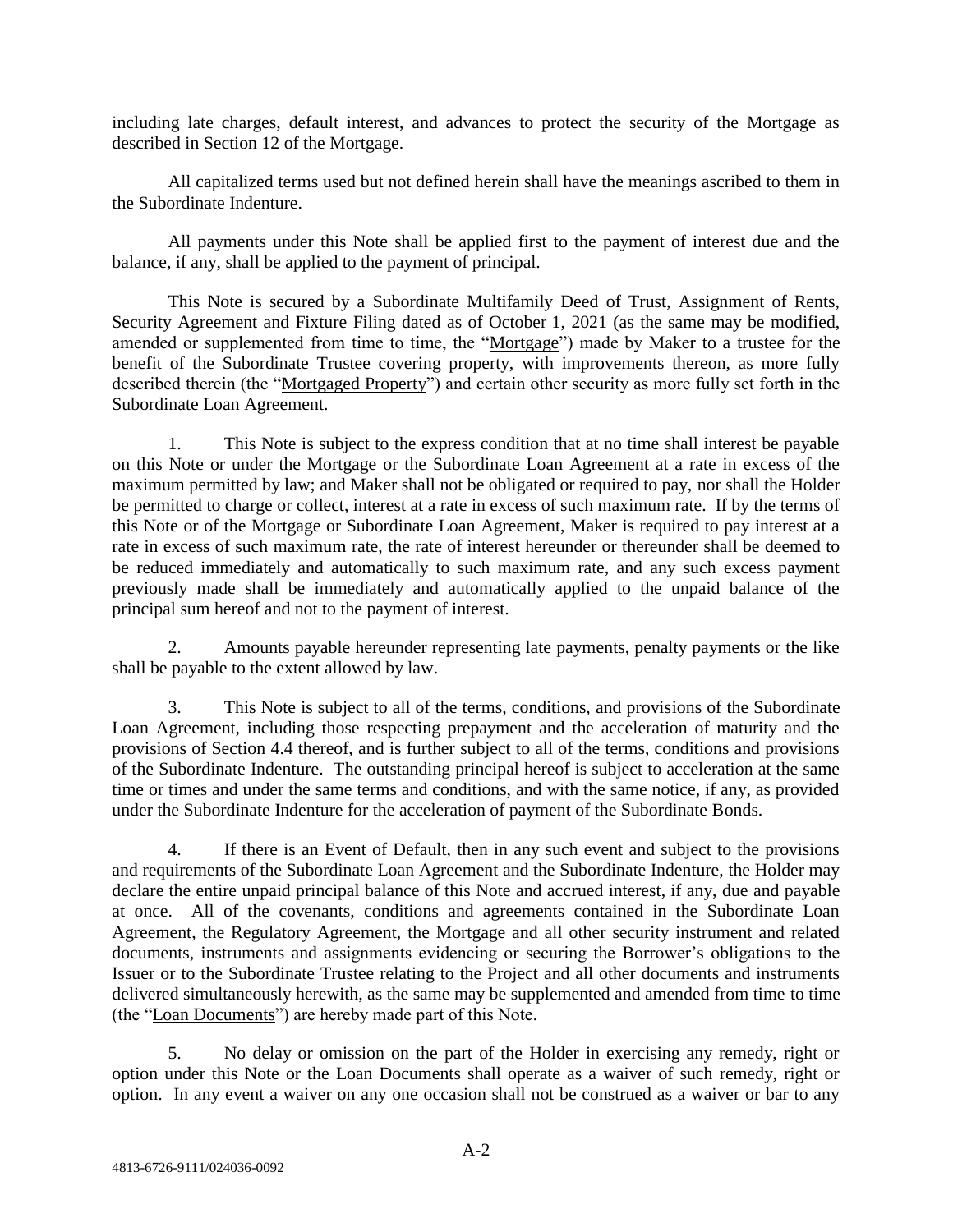including late charges, default interest, and advances to protect the security of the Mortgage as described in Section 12 of the Mortgage.

All capitalized terms used but not defined herein shall have the meanings ascribed to them in the Subordinate Indenture.

All payments under this Note shall be applied first to the payment of interest due and the balance, if any, shall be applied to the payment of principal.

This Note is secured by a Subordinate Multifamily Deed of Trust, Assignment of Rents, Security Agreement and Fixture Filing dated as of October 1, 2021 (as the same may be modified, amended or supplemented from time to time, the "Mortgage") made by Maker to a trustee for the benefit of the Subordinate Trustee covering property, with improvements thereon, as more fully described therein (the "Mortgaged Property") and certain other security as more fully set forth in the Subordinate Loan Agreement.

1. This Note is subject to the express condition that at no time shall interest be payable on this Note or under the Mortgage or the Subordinate Loan Agreement at a rate in excess of the maximum permitted by law; and Maker shall not be obligated or required to pay, nor shall the Holder be permitted to charge or collect, interest at a rate in excess of such maximum rate. If by the terms of this Note or of the Mortgage or Subordinate Loan Agreement, Maker is required to pay interest at a rate in excess of such maximum rate, the rate of interest hereunder or thereunder shall be deemed to be reduced immediately and automatically to such maximum rate, and any such excess payment previously made shall be immediately and automatically applied to the unpaid balance of the principal sum hereof and not to the payment of interest.

2. Amounts payable hereunder representing late payments, penalty payments or the like shall be payable to the extent allowed by law.

3. This Note is subject to all of the terms, conditions, and provisions of the Subordinate Loan Agreement, including those respecting prepayment and the acceleration of maturity and the provisions of Section 4.4 thereof, and is further subject to all of the terms, conditions and provisions of the Subordinate Indenture. The outstanding principal hereof is subject to acceleration at the same time or times and under the same terms and conditions, and with the same notice, if any, as provided under the Subordinate Indenture for the acceleration of payment of the Subordinate Bonds.

4. If there is an Event of Default, then in any such event and subject to the provisions and requirements of the Subordinate Loan Agreement and the Subordinate Indenture, the Holder may declare the entire unpaid principal balance of this Note and accrued interest, if any, due and payable at once. All of the covenants, conditions and agreements contained in the Subordinate Loan Agreement, the Regulatory Agreement, the Mortgage and all other security instrument and related documents, instruments and assignments evidencing or securing the Borrower's obligations to the Issuer or to the Subordinate Trustee relating to the Project and all other documents and instruments delivered simultaneously herewith, as the same may be supplemented and amended from time to time (the "Loan Documents") are hereby made part of this Note.

5. No delay or omission on the part of the Holder in exercising any remedy, right or option under this Note or the Loan Documents shall operate as a waiver of such remedy, right or option. In any event a waiver on any one occasion shall not be construed as a waiver or bar to any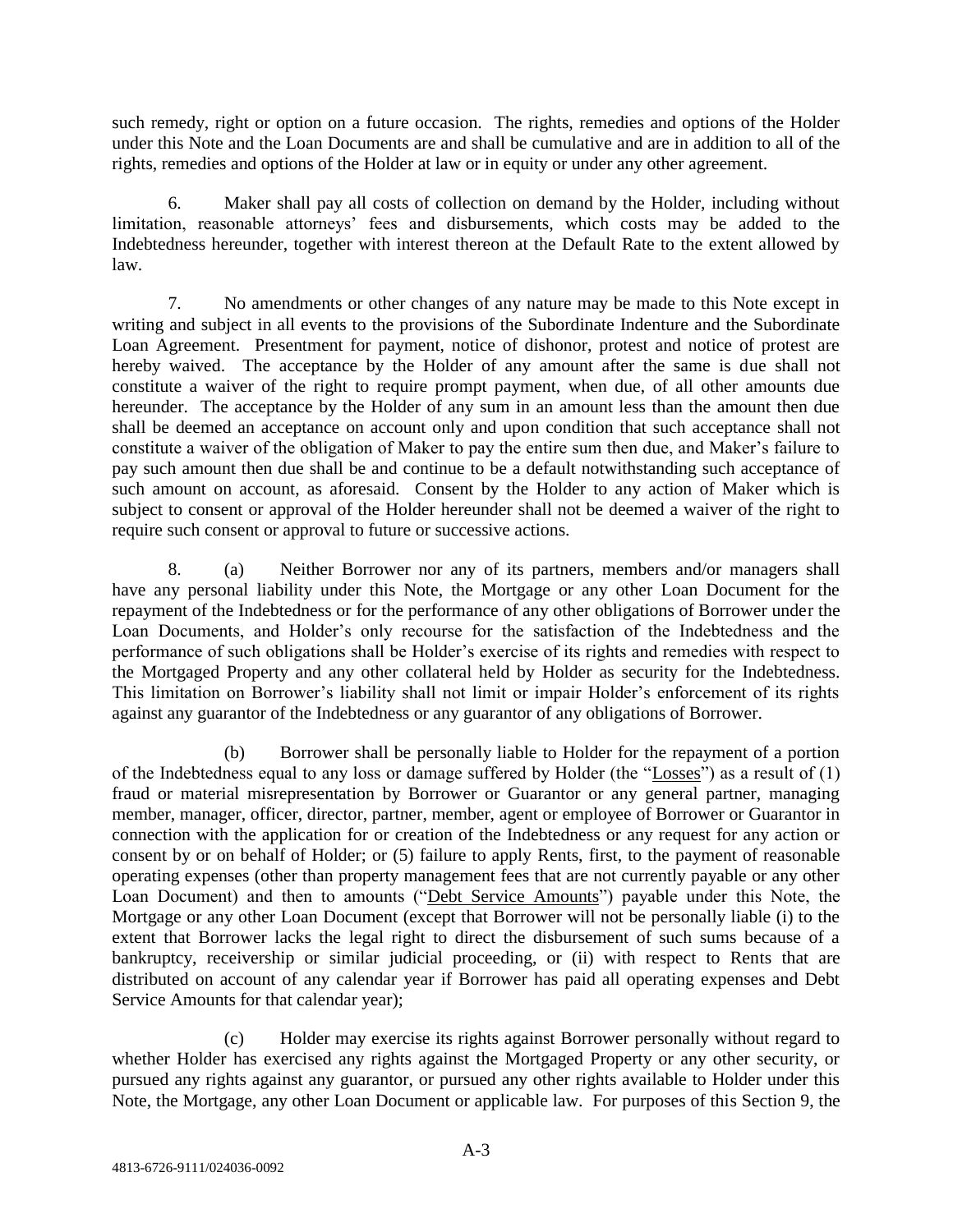such remedy, right or option on a future occasion. The rights, remedies and options of the Holder under this Note and the Loan Documents are and shall be cumulative and are in addition to all of the rights, remedies and options of the Holder at law or in equity or under any other agreement.

6. Maker shall pay all costs of collection on demand by the Holder, including without limitation, reasonable attorneys' fees and disbursements, which costs may be added to the Indebtedness hereunder, together with interest thereon at the Default Rate to the extent allowed by law.

7. No amendments or other changes of any nature may be made to this Note except in writing and subject in all events to the provisions of the Subordinate Indenture and the Subordinate Loan Agreement. Presentment for payment, notice of dishonor, protest and notice of protest are hereby waived. The acceptance by the Holder of any amount after the same is due shall not constitute a waiver of the right to require prompt payment, when due, of all other amounts due hereunder. The acceptance by the Holder of any sum in an amount less than the amount then due shall be deemed an acceptance on account only and upon condition that such acceptance shall not constitute a waiver of the obligation of Maker to pay the entire sum then due, and Maker's failure to pay such amount then due shall be and continue to be a default notwithstanding such acceptance of such amount on account, as aforesaid. Consent by the Holder to any action of Maker which is subject to consent or approval of the Holder hereunder shall not be deemed a waiver of the right to require such consent or approval to future or successive actions.

8. (a) Neither Borrower nor any of its partners, members and/or managers shall have any personal liability under this Note, the Mortgage or any other Loan Document for the repayment of the Indebtedness or for the performance of any other obligations of Borrower under the Loan Documents, and Holder's only recourse for the satisfaction of the Indebtedness and the performance of such obligations shall be Holder's exercise of its rights and remedies with respect to the Mortgaged Property and any other collateral held by Holder as security for the Indebtedness. This limitation on Borrower's liability shall not limit or impair Holder's enforcement of its rights against any guarantor of the Indebtedness or any guarantor of any obligations of Borrower.

(b) Borrower shall be personally liable to Holder for the repayment of a portion of the Indebtedness equal to any loss or damage suffered by Holder (the "Losses") as a result of (1) fraud or material misrepresentation by Borrower or Guarantor or any general partner, managing member, manager, officer, director, partner, member, agent or employee of Borrower or Guarantor in connection with the application for or creation of the Indebtedness or any request for any action or consent by or on behalf of Holder; or (5) failure to apply Rents, first, to the payment of reasonable operating expenses (other than property management fees that are not currently payable or any other Loan Document) and then to amounts ("Debt Service Amounts") payable under this Note, the Mortgage or any other Loan Document (except that Borrower will not be personally liable (i) to the extent that Borrower lacks the legal right to direct the disbursement of such sums because of a bankruptcy, receivership or similar judicial proceeding, or (ii) with respect to Rents that are distributed on account of any calendar year if Borrower has paid all operating expenses and Debt Service Amounts for that calendar year);

(c) Holder may exercise its rights against Borrower personally without regard to whether Holder has exercised any rights against the Mortgaged Property or any other security, or pursued any rights against any guarantor, or pursued any other rights available to Holder under this Note, the Mortgage, any other Loan Document or applicable law. For purposes of this Section 9, the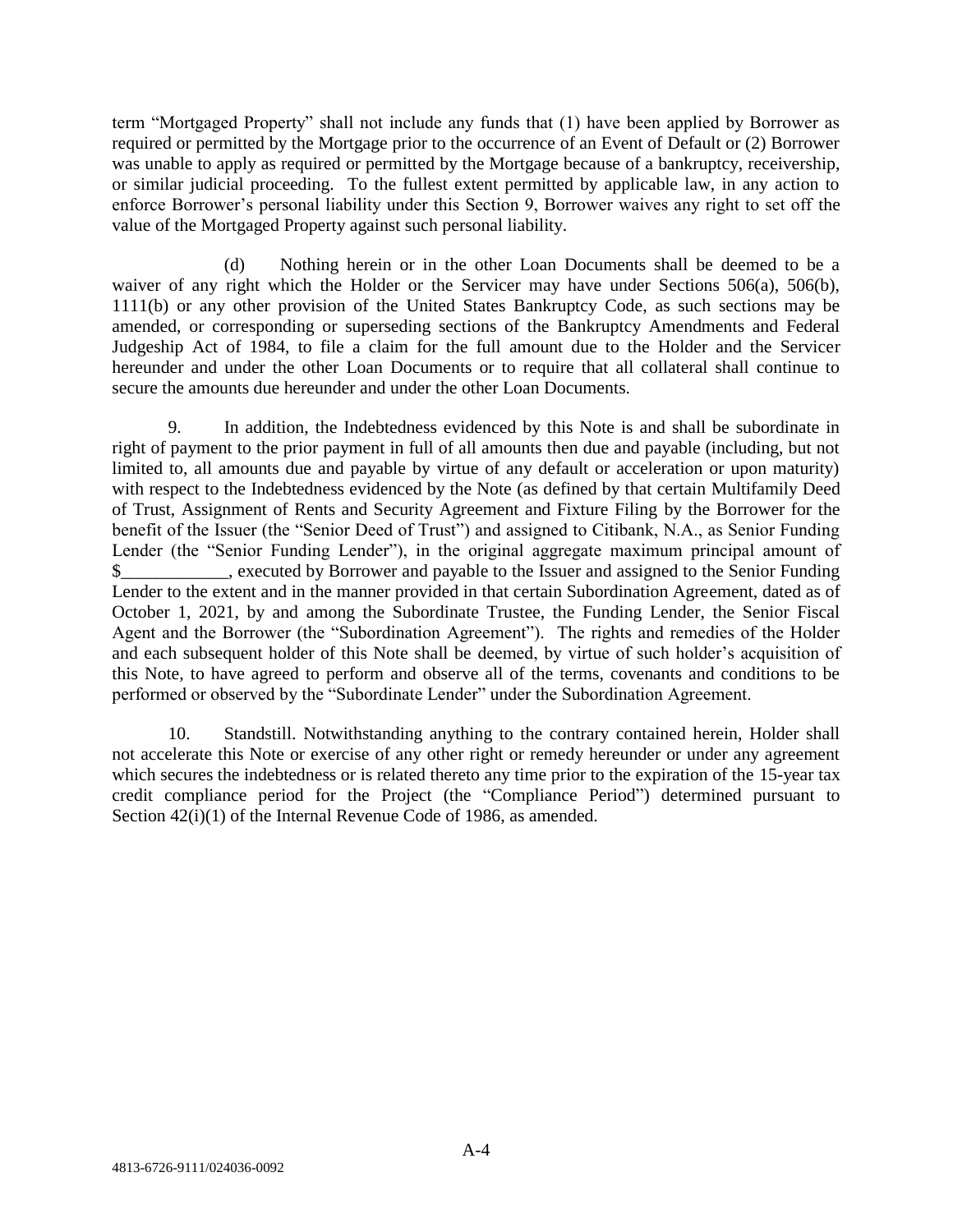term "Mortgaged Property" shall not include any funds that (1) have been applied by Borrower as required or permitted by the Mortgage prior to the occurrence of an Event of Default or (2) Borrower was unable to apply as required or permitted by the Mortgage because of a bankruptcy, receivership, or similar judicial proceeding. To the fullest extent permitted by applicable law, in any action to enforce Borrower's personal liability under this Section 9, Borrower waives any right to set off the value of the Mortgaged Property against such personal liability.

(d) Nothing herein or in the other Loan Documents shall be deemed to be a waiver of any right which the Holder or the Servicer may have under Sections 506(a), 506(b), 1111(b) or any other provision of the United States Bankruptcy Code, as such sections may be amended, or corresponding or superseding sections of the Bankruptcy Amendments and Federal Judgeship Act of 1984, to file a claim for the full amount due to the Holder and the Servicer hereunder and under the other Loan Documents or to require that all collateral shall continue to secure the amounts due hereunder and under the other Loan Documents.

9. In addition, the Indebtedness evidenced by this Note is and shall be subordinate in right of payment to the prior payment in full of all amounts then due and payable (including, but not limited to, all amounts due and payable by virtue of any default or acceleration or upon maturity) with respect to the Indebtedness evidenced by the Note (as defined by that certain Multifamily Deed of Trust, Assignment of Rents and Security Agreement and Fixture Filing by the Borrower for the benefit of the Issuer (the "Senior Deed of Trust") and assigned to Citibank, N.A., as Senior Funding Lender (the "Senior Funding Lender"), in the original aggregate maximum principal amount of \$\_\_\_\_\_\_\_\_\_\_\_\_, executed by Borrower and payable to the Issuer and assigned to the Senior Funding Lender to the extent and in the manner provided in that certain Subordination Agreement, dated as of October 1, 2021, by and among the Subordinate Trustee, the Funding Lender, the Senior Fiscal Agent and the Borrower (the "Subordination Agreement"). The rights and remedies of the Holder and each subsequent holder of this Note shall be deemed, by virtue of such holder's acquisition of this Note, to have agreed to perform and observe all of the terms, covenants and conditions to be performed or observed by the "Subordinate Lender" under the Subordination Agreement.

10. Standstill. Notwithstanding anything to the contrary contained herein, Holder shall not accelerate this Note or exercise of any other right or remedy hereunder or under any agreement which secures the indebtedness or is related thereto any time prior to the expiration of the 15-year tax credit compliance period for the Project (the "Compliance Period") determined pursuant to Section  $42(i)(1)$  of the Internal Revenue Code of 1986, as amended.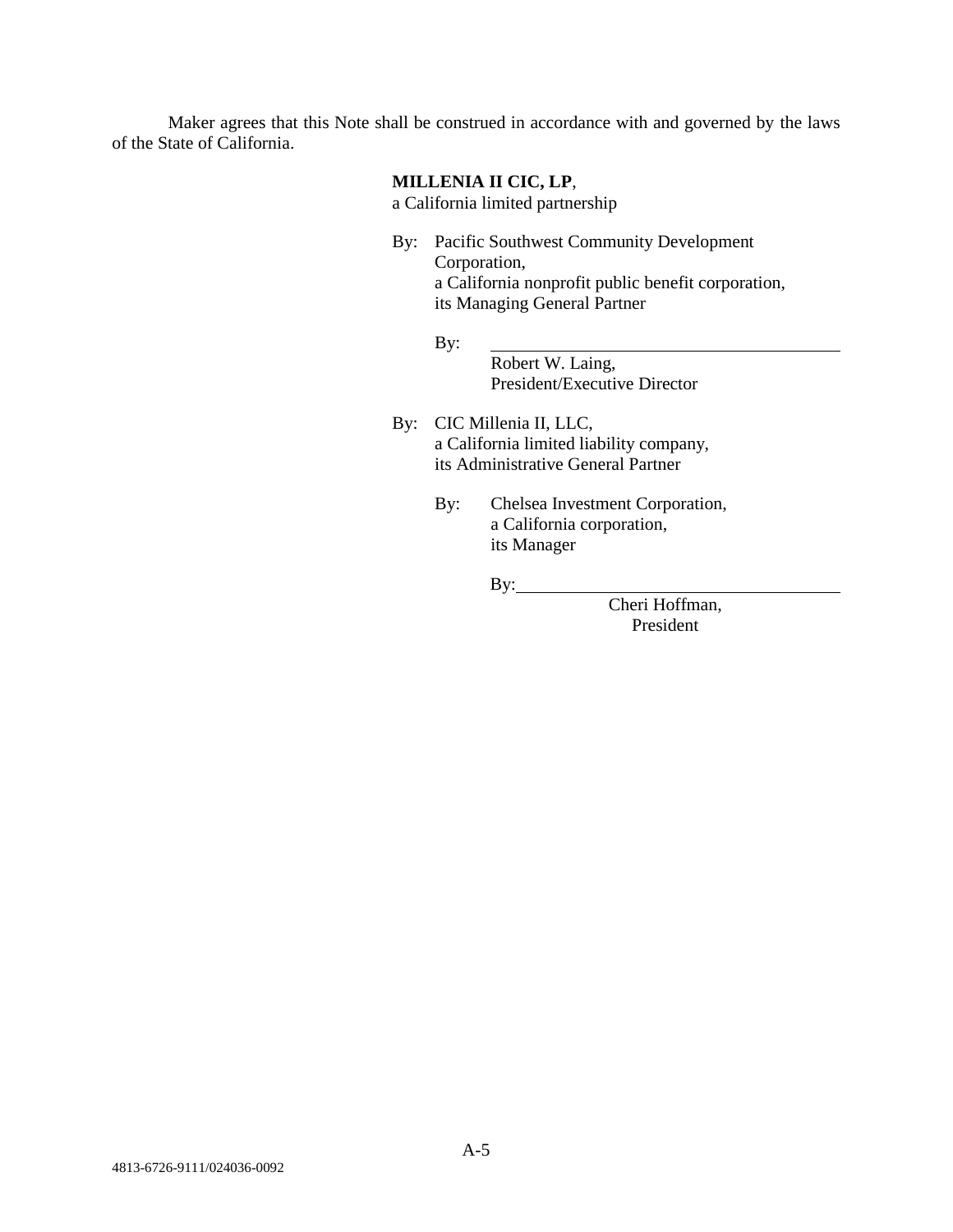Maker agrees that this Note shall be construed in accordance with and governed by the laws of the State of California.

### **MILLENIA II CIC, LP**,

a California limited partnership

- By: Pacific Southwest Community Development Corporation, a California nonprofit public benefit corporation, its Managing General Partner
	- By:

Robert W. Laing, President/Executive Director

- By: CIC Millenia II, LLC, a California limited liability company, its Administrative General Partner
	- By: Chelsea Investment Corporation, a California corporation, its Manager

 $By:$ 

Cheri Hoffman, President